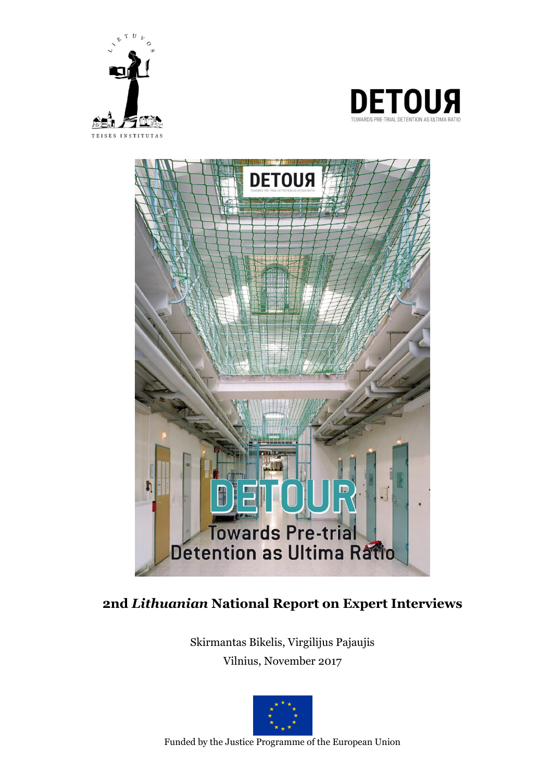





# **2nd** *Lithuanian* **National Report on Expert Interviews**

Skirmantas Bikelis, Virgilijus Pajaujis Vilnius, November 2017



Funded by the Justice Programme of the European Union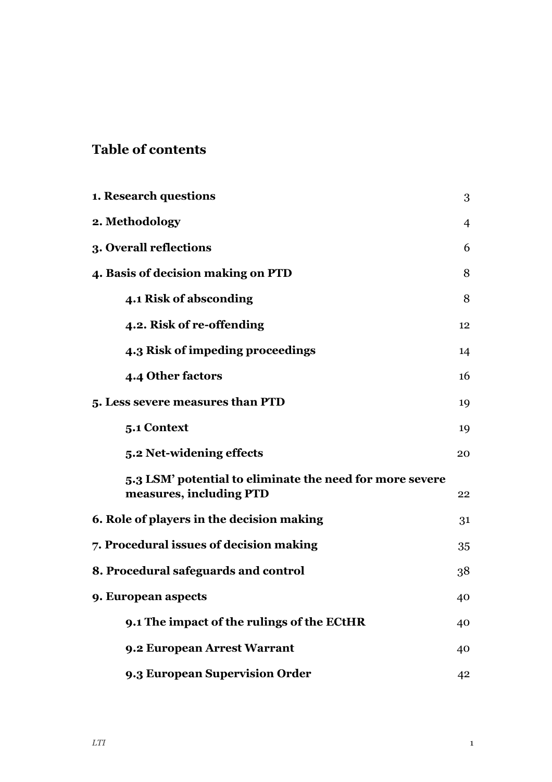# **Table of contents**

| 1. Research questions                                                               | 3              |
|-------------------------------------------------------------------------------------|----------------|
| 2. Methodology                                                                      | $\overline{4}$ |
| 3. Overall reflections                                                              | 6              |
| 4. Basis of decision making on PTD                                                  | 8              |
| 4.1 Risk of absconding                                                              | 8              |
| 4.2. Risk of re-offending                                                           | 12             |
| 4.3 Risk of impeding proceedings                                                    | 14             |
| 4.4 Other factors                                                                   | 16             |
| 5. Less severe measures than PTD                                                    | 19             |
| 5.1 Context                                                                         | 19             |
| 5.2 Net-widening effects                                                            | 20             |
| 5.3 LSM' potential to eliminate the need for more severe<br>measures, including PTD | 22             |
| 6. Role of players in the decision making                                           | 31             |
| 7. Procedural issues of decision making                                             | 35             |
| 8. Procedural safeguards and control                                                | 38             |
| 9. European aspects                                                                 | 40             |
| 9.1 The impact of the rulings of the ECtHR                                          | 40             |
| 9.2 European Arrest Warrant                                                         | 40             |
| 9.3 European Supervision Order                                                      | 42             |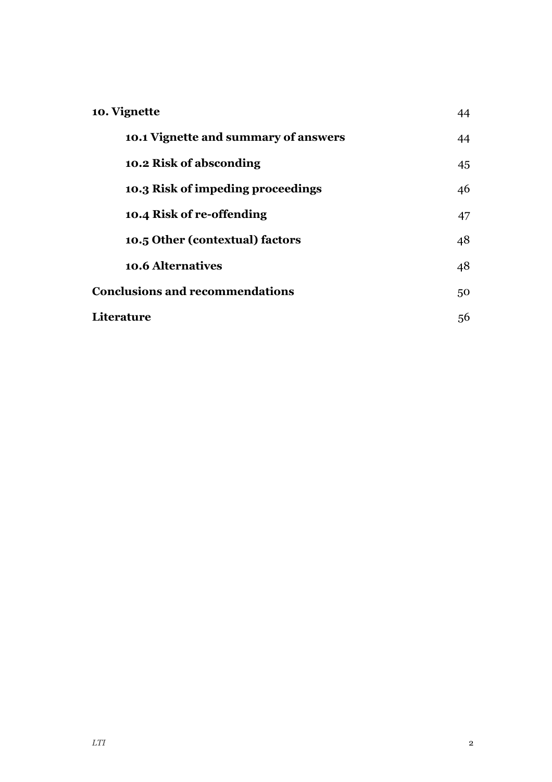| 10. Vignette                           |    |
|----------------------------------------|----|
| 10.1 Vignette and summary of answers   | 44 |
| 10.2 Risk of absconding                | 45 |
| 10.3 Risk of impeding proceedings      | 46 |
| 10.4 Risk of re-offending              | 47 |
| 10.5 Other (contextual) factors        | 48 |
| <b>10.6 Alternatives</b>               | 48 |
| <b>Conclusions and recommendations</b> |    |
| Literature                             | 56 |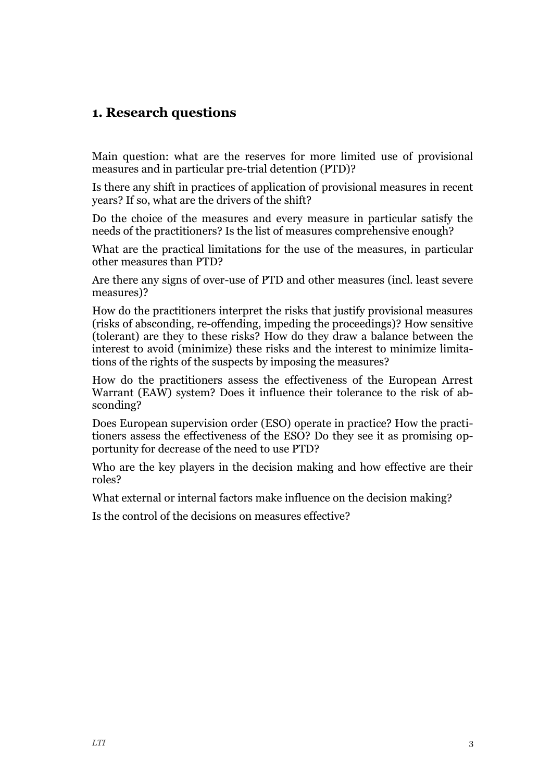## <span id="page-3-0"></span>**1. Research questions**

Main question: what are the reserves for more limited use of provisional measures and in particular pre-trial detention (PTD)?

Is there any shift in practices of application of provisional measures in recent years? If so, what are the drivers of the shift?

Do the choice of the measures and every measure in particular satisfy the needs of the practitioners? Is the list of measures comprehensive enough?

What are the practical limitations for the use of the measures, in particular other measures than PTD?

Are there any signs of over-use of PTD and other measures (incl. least severe measures)?

How do the practitioners interpret the risks that justify provisional measures (risks of absconding, re-offending, impeding the proceedings)? How sensitive (tolerant) are they to these risks? How do they draw a balance between the interest to avoid (minimize) these risks and the interest to minimize limitations of the rights of the suspects by imposing the measures?

How do the practitioners assess the effectiveness of the European Arrest Warrant (EAW) system? Does it influence their tolerance to the risk of absconding?

Does European supervision order (ESO) operate in practice? How the practitioners assess the effectiveness of the ESO? Do they see it as promising opportunity for decrease of the need to use PTD?

Who are the key players in the decision making and how effective are their roles?

What external or internal factors make influence on the decision making?

Is the control of the decisions on measures effective?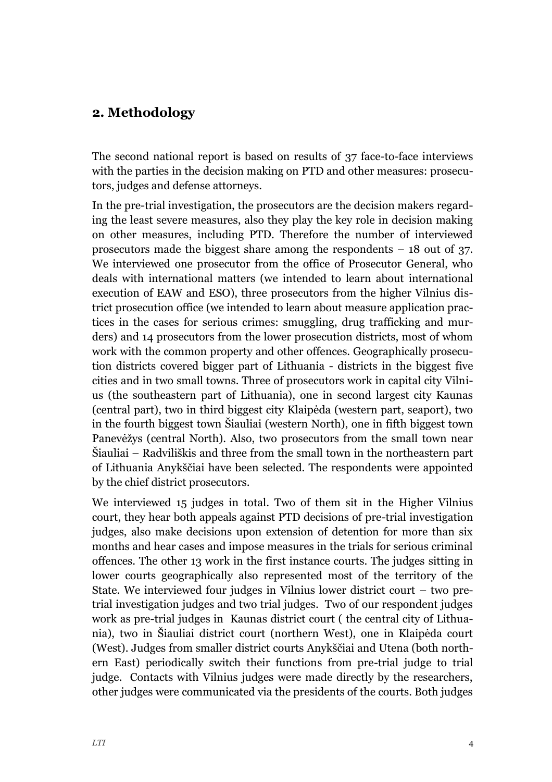## <span id="page-4-0"></span>**2. Methodology**

The second national report is based on results of 37 face-to-face interviews with the parties in the decision making on PTD and other measures: prosecutors, judges and defense attorneys.

In the pre-trial investigation, the prosecutors are the decision makers regarding the least severe measures, also they play the key role in decision making on other measures, including PTD. Therefore the number of interviewed prosecutors made the biggest share among the respondents – 18 out of 37. We interviewed one prosecutor from the office of Prosecutor General, who deals with international matters (we intended to learn about international execution of EAW and ESO), three prosecutors from the higher Vilnius district prosecution office (we intended to learn about measure application practices in the cases for serious crimes: smuggling, drug trafficking and murders) and 14 prosecutors from the lower prosecution districts, most of whom work with the common property and other offences. Geographically prosecution districts covered bigger part of Lithuania - districts in the biggest five cities and in two small towns. Three of prosecutors work in capital city Vilnius (the southeastern part of Lithuania), one in second largest city Kaunas (central part), two in third biggest city Klaipėda (western part, seaport), two in the fourth biggest town Šiauliai (western North), one in fifth biggest town Panevėžys (central North). Also, two prosecutors from the small town near Šiauliai – Radviliškis and three from the small town in the northeastern part of Lithuania Anykščiai have been selected. The respondents were appointed by the chief district prosecutors.

We interviewed 15 judges in total. Two of them sit in the Higher Vilnius court, they hear both appeals against PTD decisions of pre-trial investigation judges, also make decisions upon extension of detention for more than six months and hear cases and impose measures in the trials for serious criminal offences. The other 13 work in the first instance courts. The judges sitting in lower courts geographically also represented most of the territory of the State. We interviewed four judges in Vilnius lower district court – two pretrial investigation judges and two trial judges. Two of our respondent judges work as pre-trial judges in Kaunas district court ( the central city of Lithuania), two in Šiauliai district court (northern West), one in Klaipėda court (West). Judges from smaller district courts Anykščiai and Utena (both northern East) periodically switch their functions from pre-trial judge to trial judge. Contacts with Vilnius judges were made directly by the researchers, other judges were communicated via the presidents of the courts. Both judges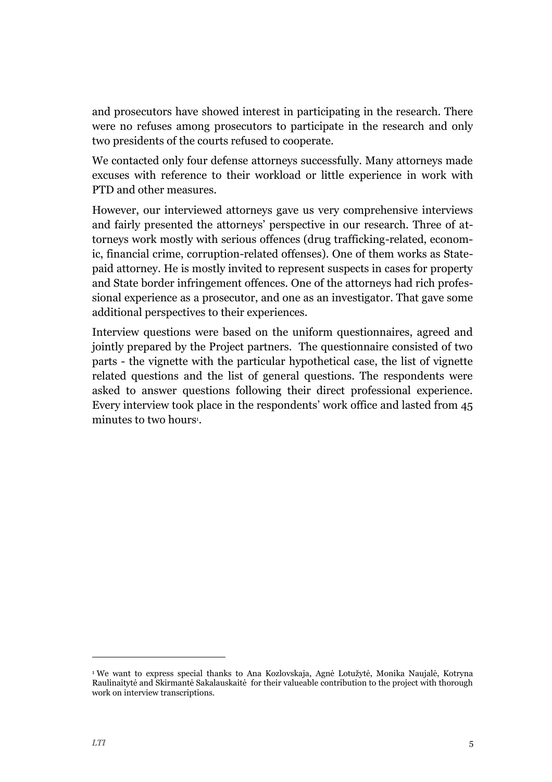and prosecutors have showed interest in participating in the research. There were no refuses among prosecutors to participate in the research and only two presidents of the courts refused to cooperate.

We contacted only four defense attorneys successfully. Many attorneys made excuses with reference to their workload or little experience in work with PTD and other measures.

However, our interviewed attorneys gave us very comprehensive interviews and fairly presented the attorneys' perspective in our research. Three of attorneys work mostly with serious offences (drug trafficking-related, economic, financial crime, corruption-related offenses). One of them works as Statepaid attorney. He is mostly invited to represent suspects in cases for property and State border infringement offences. One of the attorneys had rich professional experience as a prosecutor, and one as an investigator. That gave some additional perspectives to their experiences.

Interview questions were based on the uniform questionnaires, agreed and jointly prepared by the Project partners. The questionnaire consisted of two parts - the vignette with the particular hypothetical case, the list of vignette related questions and the list of general questions. The respondents were asked to answer questions following their direct professional experience. Every interview took place in the respondents' work office and lasted from 45 minutes to two hours<sup>1</sup>.

j

<sup>1</sup> We want to express special thanks to Ana Kozlovskaja, Agnė Lotužytė, Monika Naujalė, Kotryna Raulinaitytė and Skirmantė Sakalauskaitė for their valueable contribution to the project with thorough work on interview transcriptions.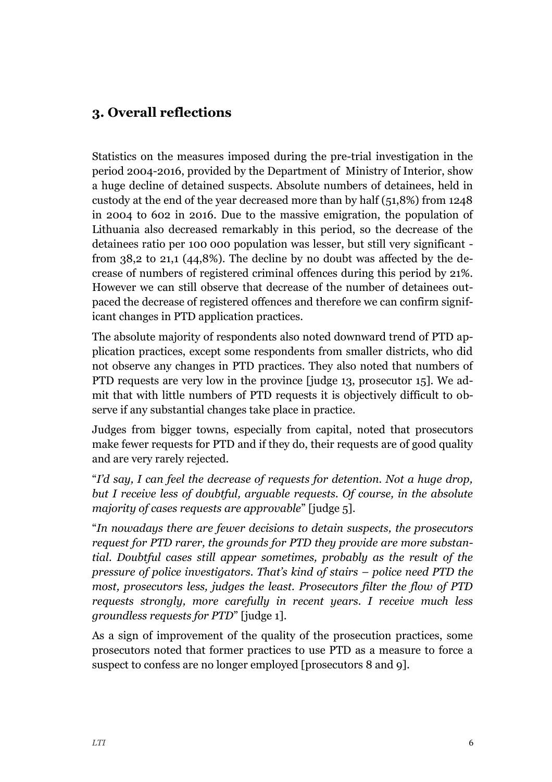# <span id="page-6-0"></span>**3. Overall reflections**

Statistics on the measures imposed during the pre-trial investigation in the period 2004-2016, provided by the Department of Ministry of Interior, show a huge decline of detained suspects. Absolute numbers of detainees, held in custody at the end of the year decreased more than by half (51,8%) from 1248 in 2004 to 602 in 2016. Due to the massive emigration, the population of Lithuania also decreased remarkably in this period, so the decrease of the detainees ratio per 100 000 population was lesser, but still very significant from 38,2 to 21,1 (44,8%). The decline by no doubt was affected by the decrease of numbers of registered criminal offences during this period by 21%. However we can still observe that decrease of the number of detainees outpaced the decrease of registered offences and therefore we can confirm significant changes in PTD application practices.

The absolute majority of respondents also noted downward trend of PTD application practices, except some respondents from smaller districts, who did not observe any changes in PTD practices. They also noted that numbers of PTD requests are very low in the province [judge 13, prosecutor 15]. We admit that with little numbers of PTD requests it is objectively difficult to observe if any substantial changes take place in practice.

Judges from bigger towns, especially from capital, noted that prosecutors make fewer requests for PTD and if they do, their requests are of good quality and are very rarely rejected.

"*I'd say, I can feel the decrease of requests for detention. Not a huge drop, but I receive less of doubtful, arguable requests. Of course, in the absolute majority of cases requests are approvable*" [judge 5].

"*In nowadays there are fewer decisions to detain suspects, the prosecutors request for PTD rarer, the grounds for PTD they provide are more substantial. Doubtful cases still appear sometimes, probably as the result of the pressure of police investigators. That's kind of stairs – police need PTD the most, prosecutors less, judges the least. Prosecutors filter the flow of PTD requests strongly, more carefully in recent years. I receive much less groundless requests for PTD*" [judge 1].

As a sign of improvement of the quality of the prosecution practices, some prosecutors noted that former practices to use PTD as a measure to force a suspect to confess are no longer employed [prosecutors 8 and 9].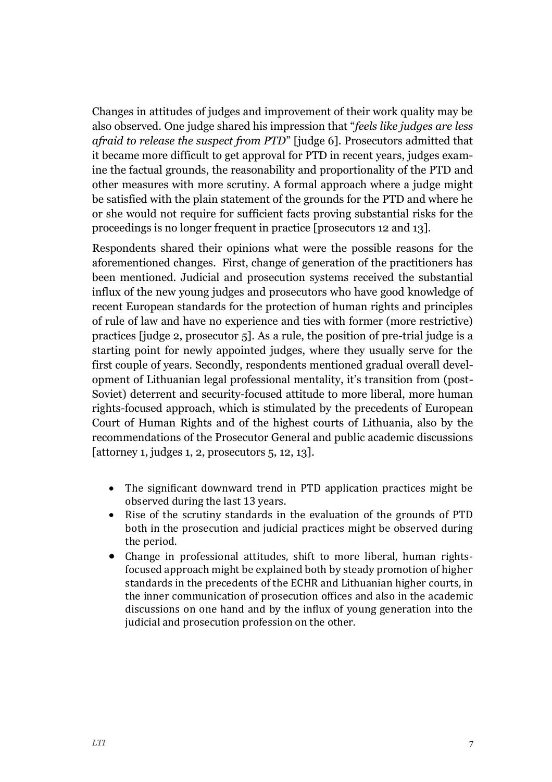Changes in attitudes of judges and improvement of their work quality may be also observed. One judge shared his impression that "*feels like judges are less afraid to release the suspect from PTD*" [judge 6]. Prosecutors admitted that it became more difficult to get approval for PTD in recent years, judges examine the factual grounds, the reasonability and proportionality of the PTD and other measures with more scrutiny. A formal approach where a judge might be satisfied with the plain statement of the grounds for the PTD and where he or she would not require for sufficient facts proving substantial risks for the proceedings is no longer frequent in practice [prosecutors 12 and 13].

Respondents shared their opinions what were the possible reasons for the aforementioned changes. First, change of generation of the practitioners has been mentioned. Judicial and prosecution systems received the substantial influx of the new young judges and prosecutors who have good knowledge of recent European standards for the protection of human rights and principles of rule of law and have no experience and ties with former (more restrictive) practices [judge 2, prosecutor 5]. As a rule, the position of pre-trial judge is a starting point for newly appointed judges, where they usually serve for the first couple of years. Secondly, respondents mentioned gradual overall development of Lithuanian legal professional mentality, it's transition from (post-Soviet) deterrent and security-focused attitude to more liberal, more human rights-focused approach, which is stimulated by the precedents of European Court of Human Rights and of the highest courts of Lithuania, also by the recommendations of the Prosecutor General and public academic discussions [attorney 1, judges 1, 2, prosecutors 5, 12, 13].

- The significant downward trend in PTD application practices might be observed during the last 13 years.
- Rise of the scrutiny standards in the evaluation of the grounds of PTD both in the prosecution and judicial practices might be observed during the period.
- Change in professional attitudes, shift to more liberal, human rightsfocused approach might be explained both by steady promotion of higher standards in the precedents of the ECHR and Lithuanian higher courts, in the inner communication of prosecution offices and also in the academic discussions on one hand and by the influx of young generation into the judicial and prosecution profession on the other.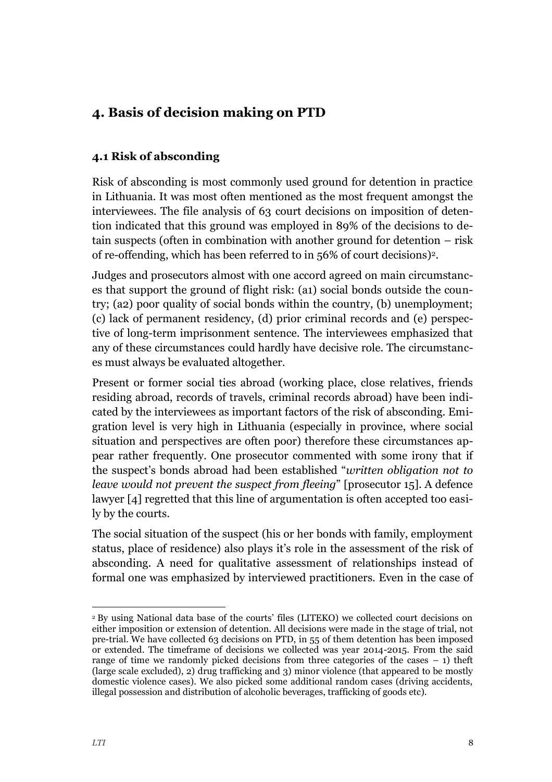# <span id="page-8-0"></span>**4. Basis of decision making on PTD**

## <span id="page-8-1"></span>**4.1 Risk of absconding**

Risk of absconding is most commonly used ground for detention in practice in Lithuania. It was most often mentioned as the most frequent amongst the interviewees. The file analysis of 63 court decisions on imposition of detention indicated that this ground was employed in 89% of the decisions to detain suspects (often in combination with another ground for detention – risk of re-offending, which has been referred to in 56% of court decisions)2.

Judges and prosecutors almost with one accord agreed on main circumstances that support the ground of flight risk: (a1) social bonds outside the country; (a2) poor quality of social bonds within the country, (b) unemployment; (c) lack of permanent residency, (d) prior criminal records and (e) perspective of long-term imprisonment sentence. The interviewees emphasized that any of these circumstances could hardly have decisive role. The circumstances must always be evaluated altogether.

Present or former social ties abroad (working place, close relatives, friends residing abroad, records of travels, criminal records abroad) have been indicated by the interviewees as important factors of the risk of absconding. Emigration level is very high in Lithuania (especially in province, where social situation and perspectives are often poor) therefore these circumstances appear rather frequently. One prosecutor commented with some irony that if the suspect's bonds abroad had been established "*written obligation not to leave would not prevent the suspect from fleeing*" [prosecutor 15]. A defence lawyer [4] regretted that this line of argumentation is often accepted too easily by the courts.

The social situation of the suspect (his or her bonds with family, employment status, place of residence) also plays it's role in the assessment of the risk of absconding. A need for qualitative assessment of relationships instead of formal one was emphasized by interviewed practitioners. Even in the case of

j

<sup>2</sup> By using National data base of the courts' files (LITEKO) we collected court decisions on either imposition or extension of detention. All decisions were made in the stage of trial, not pre-trial. We have collected 63 decisions on PTD, in 55 of them detention has been imposed or extended. The timeframe of decisions we collected was year 2014-2015. From the said range of time we randomly picked decisions from three categories of the cases – 1) theft (large scale excluded), 2) drug trafficking and 3) minor violence (that appeared to be mostly domestic violence cases). We also picked some additional random cases (driving accidents, illegal possession and distribution of alcoholic beverages, trafficking of goods etc).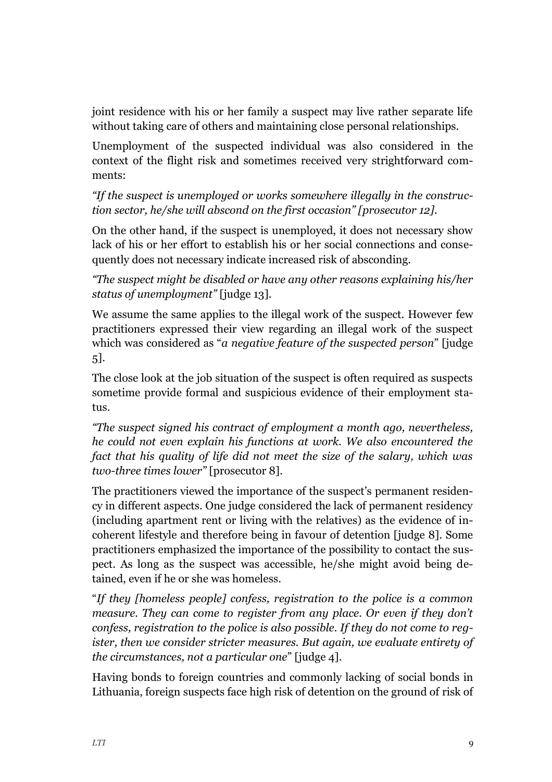joint residence with his or her family a suspect may live rather separate life without taking care of others and maintaining close personal relationships.

Unemployment of the suspected individual was also considered in the context of the flight risk and sometimes received very strightforward comments:

*"If the suspect is unemployed or works somewhere illegally in the construction sector, he/she will abscond on the first occasion" [prosecutor 12].*

On the other hand, if the suspect is unemployed, it does not necessary show lack of his or her effort to establish his or her social connections and consequently does not necessary indicate increased risk of absconding.

*"The suspect might be disabled or have any other reasons explaining his/her status of unemployment"* [judge 13].

We assume the same applies to the illegal work of the suspect. However few practitioners expressed their view regarding an illegal work of the suspect which was considered as "*a negative feature of the suspected person*" [judge 5].

The close look at the job situation of the suspect is often required as suspects sometime provide formal and suspicious evidence of their employment status.

*"The suspect signed his contract of employment a month ago, nevertheless, he could not even explain his functions at work. We also encountered the fact that his quality of life did not meet the size of the salary, which was two-three times lower"* [prosecutor 8]*.*

The practitioners viewed the importance of the suspect's permanent residency in different aspects. One judge considered the lack of permanent residency (including apartment rent or living with the relatives) as the evidence of incoherent lifestyle and therefore being in favour of detention [judge 8]. Some practitioners emphasized the importance of the possibility to contact the suspect. As long as the suspect was accessible, he/she might avoid being detained, even if he or she was homeless.

"*If they [homeless people] confess, registration to the police is a common measure. They can come to register from any place. Or even if they don't confess, registration to the police is also possible. If they do not come to register, then we consider stricter measures. But again, we evaluate entirety of the circumstances, not a particular one*" [judge 4].

Having bonds to foreign countries and commonly lacking of social bonds in Lithuania, foreign suspects face high risk of detention on the ground of risk of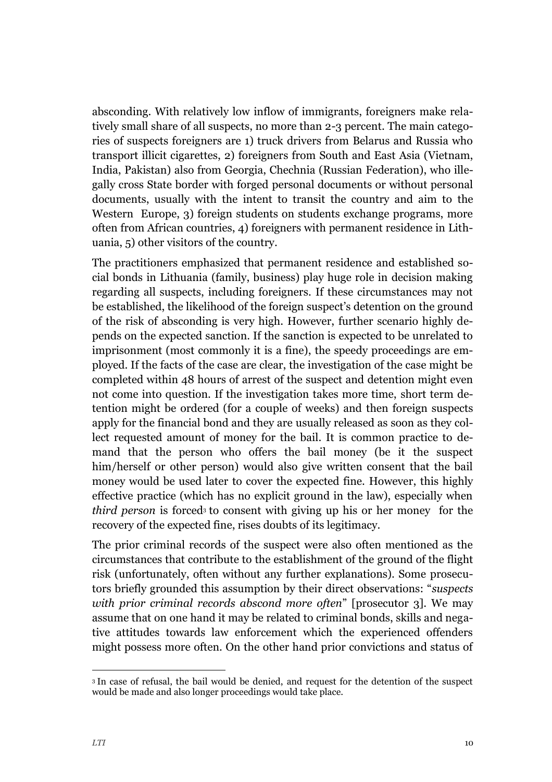absconding. With relatively low inflow of immigrants, foreigners make relatively small share of all suspects, no more than 2-3 percent. The main categories of suspects foreigners are 1) truck drivers from Belarus and Russia who transport illicit cigarettes, 2) foreigners from South and East Asia (Vietnam, India, Pakistan) also from Georgia, Chechnia (Russian Federation), who illegally cross State border with forged personal documents or without personal documents, usually with the intent to transit the country and aim to the Western Europe, 3) foreign students on students exchange programs, more often from African countries, 4) foreigners with permanent residence in Lithuania, 5) other visitors of the country.

The practitioners emphasized that permanent residence and established social bonds in Lithuania (family, business) play huge role in decision making regarding all suspects, including foreigners. If these circumstances may not be established, the likelihood of the foreign suspect's detention on the ground of the risk of absconding is very high. However, further scenario highly depends on the expected sanction. If the sanction is expected to be unrelated to imprisonment (most commonly it is a fine), the speedy proceedings are employed. If the facts of the case are clear, the investigation of the case might be completed within 48 hours of arrest of the suspect and detention might even not come into question. If the investigation takes more time, short term detention might be ordered (for a couple of weeks) and then foreign suspects apply for the financial bond and they are usually released as soon as they collect requested amount of money for the bail. It is common practice to demand that the person who offers the bail money (be it the suspect him/herself or other person) would also give written consent that the bail money would be used later to cover the expected fine. However, this highly effective practice (which has no explicit ground in the law), especially when *third person* is forced<sup>3</sup> to consent with giving up his or her money for the recovery of the expected fine, rises doubts of its legitimacy.

The prior criminal records of the suspect were also often mentioned as the circumstances that contribute to the establishment of the ground of the flight risk (unfortunately, often without any further explanations). Some prosecutors briefly grounded this assumption by their direct observations: "*suspects with prior criminal records abscond more often*" [prosecutor 3]. We may assume that on one hand it may be related to criminal bonds, skills and negative attitudes towards law enforcement which the experienced offenders might possess more often. On the other hand prior convictions and status of

-

<sup>3</sup> In case of refusal, the bail would be denied, and request for the detention of the suspect would be made and also longer proceedings would take place.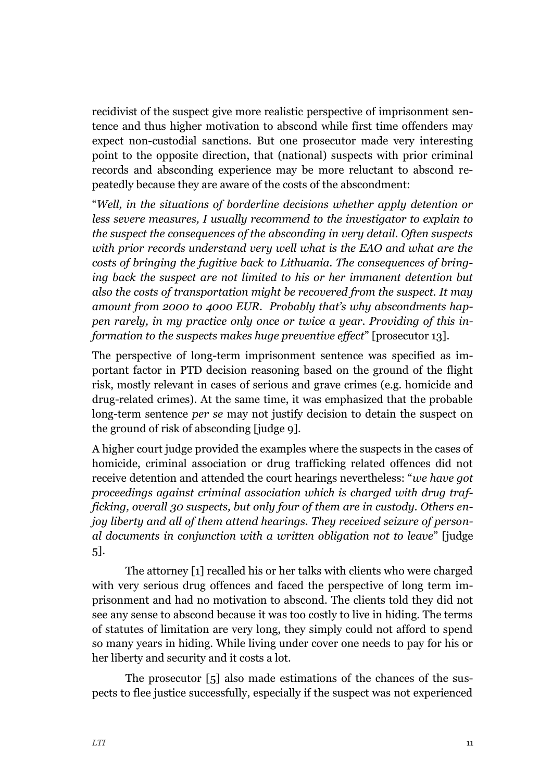recidivist of the suspect give more realistic perspective of imprisonment sentence and thus higher motivation to abscond while first time offenders may expect non-custodial sanctions. But one prosecutor made very interesting point to the opposite direction, that (national) suspects with prior criminal records and absconding experience may be more reluctant to abscond repeatedly because they are aware of the costs of the abscondment:

"*Well, in the situations of borderline decisions whether apply detention or less severe measures, I usually recommend to the investigator to explain to the suspect the consequences of the absconding in very detail. Often suspects with prior records understand very well what is the EAO and what are the costs of bringing the fugitive back to Lithuania. The consequences of bringing back the suspect are not limited to his or her immanent detention but also the costs of transportation might be recovered from the suspect. It may amount from 2000 to 4000 EUR. Probably that's why abscondments happen rarely, in my practice only once or twice a year. Providing of this information to the suspects makes huge preventive effect*" [prosecutor 13].

The perspective of long-term imprisonment sentence was specified as important factor in PTD decision reasoning based on the ground of the flight risk, mostly relevant in cases of serious and grave crimes (e.g. homicide and drug-related crimes). At the same time, it was emphasized that the probable long-term sentence *per se* may not justify decision to detain the suspect on the ground of risk of absconding [judge 9].

A higher court judge provided the examples where the suspects in the cases of homicide, criminal association or drug trafficking related offences did not receive detention and attended the court hearings nevertheless: "*we have got proceedings against criminal association which is charged with drug trafficking, overall 30 suspects, but only four of them are in custody. Others enjoy liberty and all of them attend hearings. They received seizure of personal documents in conjunction with a written obligation not to leave*" [judge 5].

The attorney [1] recalled his or her talks with clients who were charged with very serious drug offences and faced the perspective of long term imprisonment and had no motivation to abscond. The clients told they did not see any sense to abscond because it was too costly to live in hiding. The terms of statutes of limitation are very long, they simply could not afford to spend so many years in hiding. While living under cover one needs to pay for his or her liberty and security and it costs a lot.

The prosecutor [5] also made estimations of the chances of the suspects to flee justice successfully, especially if the suspect was not experienced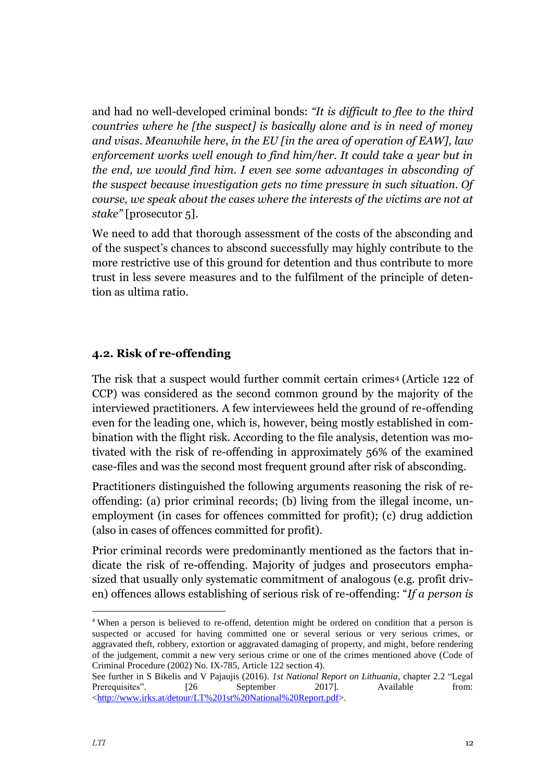and had no well-developed criminal bonds: *"It is difficult to flee to the third countries where he [the suspect] is basically alone and is in need of money and visas. Meanwhile here, in the EU [in the area of operation of EAW], law enforcement works well enough to find him/her. It could take a year but in the end, we would find him. I even see some advantages in absconding of the suspect because investigation gets no time pressure in such situation. Of course, we speak about the cases where the interests of the victims are not at stake"* [prosecutor 5]*.*

We need to add that thorough assessment of the costs of the absconding and of the suspect's chances to abscond successfully may highly contribute to the more restrictive use of this ground for detention and thus contribute to more trust in less severe measures and to the fulfilment of the principle of detention as ultima ratio.

#### <span id="page-12-0"></span>**4.2. Risk of re-offending**

The risk that a suspect would further commit certain crimes<sup>4</sup> (Article 122 of CCP) was considered as the second common ground by the majority of the interviewed practitioners. A few interviewees held the ground of re-offending even for the leading one, which is, however, being mostly established in combination with the flight risk. According to the file analysis, detention was motivated with the risk of re-offending in approximately 56% of the examined case-files and was the second most frequent ground after risk of absconding.

Practitioners distinguished the following arguments reasoning the risk of reoffending: (a) prior criminal records; (b) living from the illegal income, unemployment (in cases for offences committed for profit); (c) drug addiction (also in cases of offences committed for profit).

Prior criminal records were predominantly mentioned as the factors that indicate the risk of re-offending. Majority of judges and prosecutors emphasized that usually only systematic commitment of analogous (e.g. profit driven) offences allows establishing of serious risk of re-offending: "*If a person is* 

j

<sup>4</sup> When a person is believed to re-offend, detention might be ordered on condition that a person is suspected or accused for having committed one or several serious or very serious crimes, or aggravated theft, robbery, extortion or aggravated damaging of property, and might, before rendering of the judgement, commit a new very serious crime or one of the crimes mentioned above (Code of Criminal Procedure (2002) No. IX-785, Article 122 section 4).

See further in S Bikelis and V Pajaujis (2016). *1st National Report on Lithuania*, chapter 2.2 "Legal Prerequisites". [26 September 2017]. Available from: [<http://www.irks.at/detour/LT%201st%20National%20Report.pdf>](http://www.irks.at/detour/LT%201st%20National%20Report.pdf).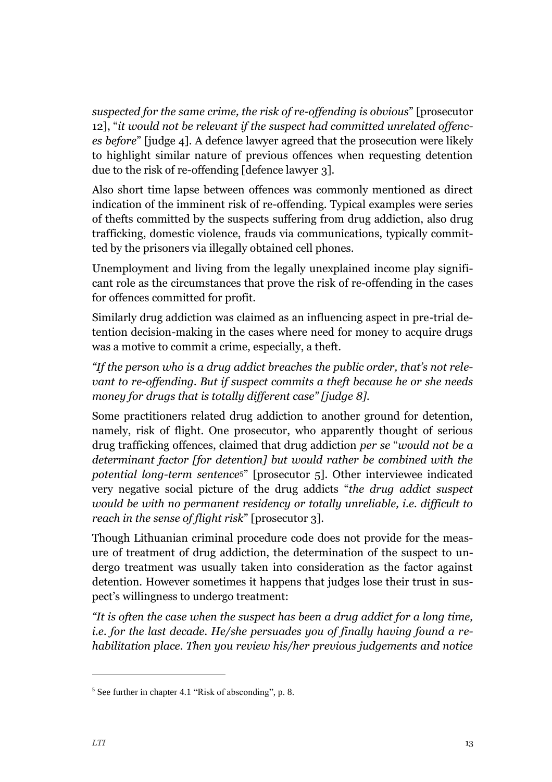*suspected for the same crime, the risk of re-offending is obvious*" [prosecutor 12], "*it would not be relevant if the suspect had committed unrelated offences before*" [judge 4]. A defence lawyer agreed that the prosecution were likely to highlight similar nature of previous offences when requesting detention due to the risk of re-offending [defence lawyer 3].

Also short time lapse between offences was commonly mentioned as direct indication of the imminent risk of re-offending. Typical examples were series of thefts committed by the suspects suffering from drug addiction, also drug trafficking, domestic violence, frauds via communications, typically committed by the prisoners via illegally obtained cell phones.

Unemployment and living from the legally unexplained income play significant role as the circumstances that prove the risk of re-offending in the cases for offences committed for profit.

Similarly drug addiction was claimed as an influencing aspect in pre-trial detention decision-making in the cases where need for money to acquire drugs was a motive to commit a crime, especially, a theft.

*"If the person who is a drug addict breaches the public order, that's not relevant to re-offending. But if suspect commits a theft because he or she needs money for drugs that is totally different case" [judge 8].*

Some practitioners related drug addiction to another ground for detention, namely, risk of flight. One prosecutor, who apparently thought of serious drug trafficking offences, claimed that drug addiction *per se* "*would not be a determinant factor [for detention] but would rather be combined with the potential long-term sentence*5" [prosecutor 5]. Other interviewee indicated very negative social picture of the drug addicts "*the drug addict suspect would be with no permanent residency or totally unreliable, i.e. difficult to reach in the sense of flight risk*" [prosecutor 3].

Though Lithuanian criminal procedure code does not provide for the measure of treatment of drug addiction, the determination of the suspect to undergo treatment was usually taken into consideration as the factor against detention. However sometimes it happens that judges lose their trust in suspect's willingness to undergo treatment:

*"It is often the case when the suspect has been a drug addict for a long time, i.e. for the last decade. He/she persuades you of finally having found a rehabilitation place. Then you review his/her previous judgements and notice* 

-

<sup>5</sup> See further in chapter 4.1 "Risk of absconding", p. 8.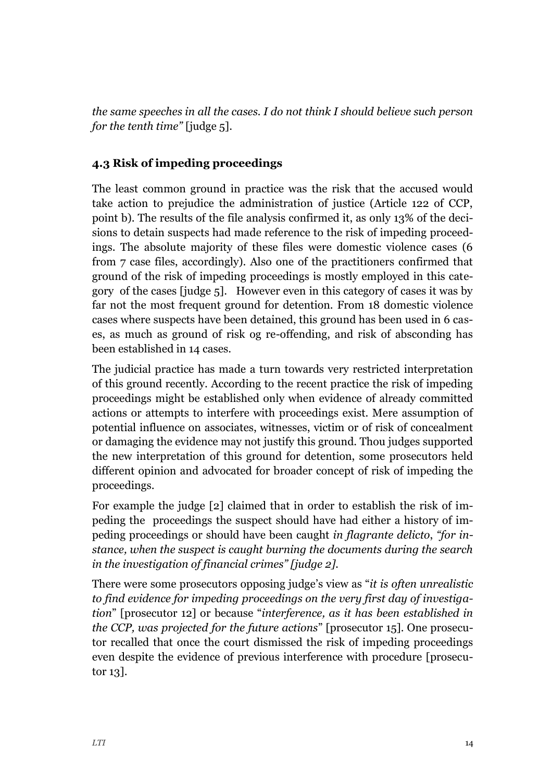*the same speeches in all the cases. I do not think I should believe such person for the tenth time"* [judge 5].

### <span id="page-14-0"></span>**4.3 Risk of impeding proceedings**

The least common ground in practice was the risk that the accused would take action to prejudice the administration of justice (Article 122 of CCP, point b). The results of the file analysis confirmed it, as only 13% of the decisions to detain suspects had made reference to the risk of impeding proceedings. The absolute majority of these files were domestic violence cases (6 from 7 case files, accordingly). Also one of the practitioners confirmed that ground of the risk of impeding proceedings is mostly employed in this category of the cases [judge 5]. However even in this category of cases it was by far not the most frequent ground for detention. From 18 domestic violence cases where suspects have been detained, this ground has been used in 6 cases, as much as ground of risk og re-offending, and risk of absconding has been established in 14 cases.

The judicial practice has made a turn towards very restricted interpretation of this ground recently. According to the recent practice the risk of impeding proceedings might be established only when evidence of already committed actions or attempts to interfere with proceedings exist. Mere assumption of potential influence on associates, witnesses, victim or of risk of concealment or damaging the evidence may not justify this ground. Thou judges supported the new interpretation of this ground for detention, some prosecutors held different opinion and advocated for broader concept of risk of impeding the proceedings.

For example the judge [2] claimed that in order to establish the risk of impeding the proceedings the suspect should have had either a history of impeding proceedings or should have been caught *in flagrante delicto*, *"for instance, when the suspect is caught burning the documents during the search in the investigation of financial crimes" [judge 2].*

There were some prosecutors opposing judge's view as "*it is often unrealistic to find evidence for impeding proceedings on the very first day of investigation*" [prosecutor 12] or because "*interference, as it has been established in the CCP, was projected for the future actions*" [prosecutor 15]. One prosecutor recalled that once the court dismissed the risk of impeding proceedings even despite the evidence of previous interference with procedure [prosecutor 13].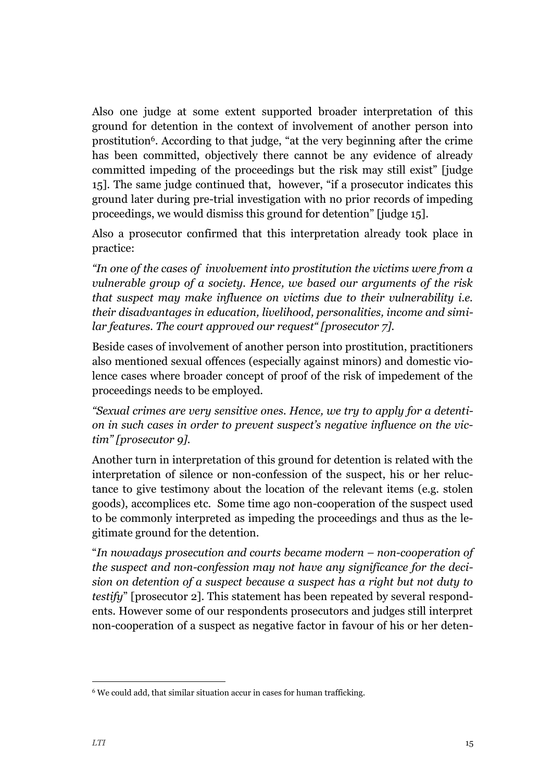Also one judge at some extent supported broader interpretation of this ground for detention in the context of involvement of another person into prostitution6. According to that judge, "at the very beginning after the crime has been committed, objectively there cannot be any evidence of already committed impeding of the proceedings but the risk may still exist" [judge 15]. The same judge continued that, however, "if a prosecutor indicates this ground later during pre-trial investigation with no prior records of impeding proceedings, we would dismiss this ground for detention" [judge 15].

Also a prosecutor confirmed that this interpretation already took place in practice:

*"In one of the cases of involvement into prostitution the victims were from a vulnerable group of a society. Hence, we based our arguments of the risk that suspect may make influence on victims due to their vulnerability i.e. their disadvantages in education, livelihood, personalities, income and similar features. The court approved our request" [prosecutor 7].*

Beside cases of involvement of another person into prostitution, practitioners also mentioned sexual offences (especially against minors) and domestic violence cases where broader concept of proof of the risk of impedement of the proceedings needs to be employed.

*"Sexual crimes are very sensitive ones. Hence, we try to apply for a detention in such cases in order to prevent suspect's negative influence on the victim" [prosecutor 9].*

Another turn in interpretation of this ground for detention is related with the interpretation of silence or non-confession of the suspect, his or her reluctance to give testimony about the location of the relevant items (e.g. stolen goods), accomplices etc. Some time ago non-cooperation of the suspect used to be commonly interpreted as impeding the proceedings and thus as the legitimate ground for the detention.

"*In nowadays prosecution and courts became modern – non-cooperation of the suspect and non-confession may not have any significance for the decision on detention of a suspect because a suspect has a right but not duty to testify*" [prosecutor 2]. This statement has been repeated by several respondents. However some of our respondents prosecutors and judges still interpret non-cooperation of a suspect as negative factor in favour of his or her deten-

j

<sup>&</sup>lt;sup>6</sup> We could add, that similar situation accur in cases for human trafficking.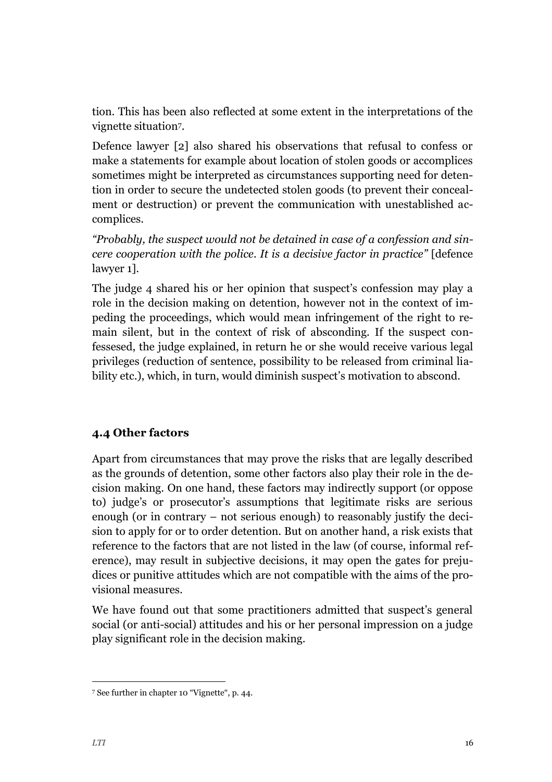tion. This has been also reflected at some extent in the interpretations of the vignette situation7.

Defence lawyer [2] also shared his observations that refusal to confess or make a statements for example about location of stolen goods or accomplices sometimes might be interpreted as circumstances supporting need for detention in order to secure the undetected stolen goods (to prevent their concealment or destruction) or prevent the communication with unestablished accomplices.

*"Probably, the suspect would not be detained in case of a confession and sincere cooperation with the police. It is a decisive factor in practice"* [defence lawyer 1].

The judge 4 shared his or her opinion that suspect's confession may play a role in the decision making on detention, however not in the context of impeding the proceedings, which would mean infringement of the right to remain silent, but in the context of risk of absconding. If the suspect confessesed, the judge explained, in return he or she would receive various legal privileges (reduction of sentence, possibility to be released from criminal liability etc.), which, in turn, would diminish suspect's motivation to abscond.

## <span id="page-16-0"></span>**4.4 Other factors**

Apart from circumstances that may prove the risks that are legally described as the grounds of detention, some other factors also play their role in the decision making. On one hand, these factors may indirectly support (or oppose to) judge's or prosecutor's assumptions that legitimate risks are serious enough (or in contrary – not serious enough) to reasonably justify the decision to apply for or to order detention. But on another hand, a risk exists that reference to the factors that are not listed in the law (of course, informal reference), may result in subjective decisions, it may open the gates for prejudices or punitive attitudes which are not compatible with the aims of the provisional measures.

We have found out that some practitioners admitted that suspect's general social (or anti-social) attitudes and his or her personal impression on a judge play significant role in the decision making.

j

<sup>7</sup> See further in chapter 10 "Vignette", p. 44.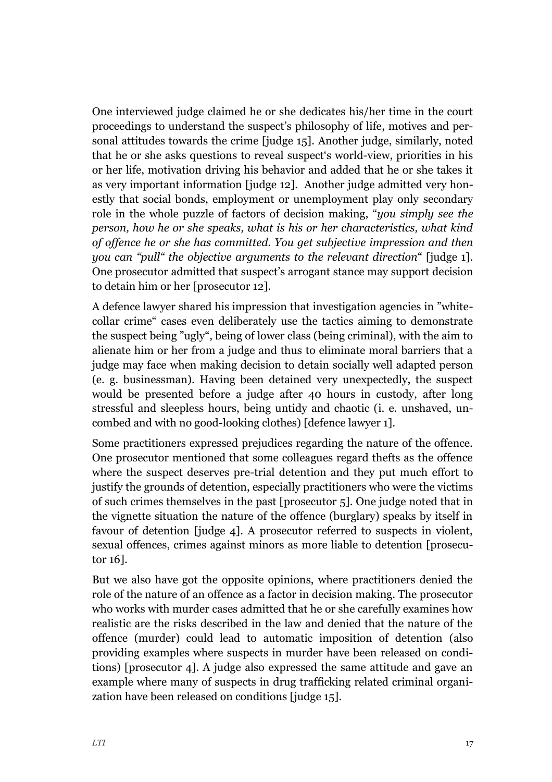One interviewed judge claimed he or she dedicates his/her time in the court proceedings to understand the suspect's philosophy of life, motives and personal attitudes towards the crime [judge 15]. Another judge, similarly, noted that he or she asks questions to reveal suspect's world-view, priorities in his or her life, motivation driving his behavior and added that he or she takes it as very important information [judge 12]. Another judge admitted very honestly that social bonds, employment or unemployment play only secondary role in the whole puzzle of factors of decision making, "*you simply see the person, how he or she speaks, what is his or her characteristics, what kind of offence he or she has committed. You get subjective impression and then you can "pull" the objective arguments to the relevant direction*" [judge 1]. One prosecutor admitted that suspect's arrogant stance may support decision to detain him or her [prosecutor 12].

A defence lawyer shared his impression that investigation agencies in "whitecollar crime" cases even deliberately use the tactics aiming to demonstrate the suspect being "ugly", being of lower class (being criminal), with the aim to alienate him or her from a judge and thus to eliminate moral barriers that a judge may face when making decision to detain socially well adapted person (e. g. businessman). Having been detained very unexpectedly, the suspect would be presented before a judge after 40 hours in custody, after long stressful and sleepless hours, being untidy and chaotic (i. e. unshaved, uncombed and with no good-looking clothes) [defence lawyer 1].

Some practitioners expressed prejudices regarding the nature of the offence. One prosecutor mentioned that some colleagues regard thefts as the offence where the suspect deserves pre-trial detention and they put much effort to justify the grounds of detention, especially practitioners who were the victims of such crimes themselves in the past [prosecutor 5]. One judge noted that in the vignette situation the nature of the offence (burglary) speaks by itself in favour of detention [judge 4]. A prosecutor referred to suspects in violent, sexual offences, crimes against minors as more liable to detention [prosecutor 16].

But we also have got the opposite opinions, where practitioners denied the role of the nature of an offence as a factor in decision making. The prosecutor who works with murder cases admitted that he or she carefully examines how realistic are the risks described in the law and denied that the nature of the offence (murder) could lead to automatic imposition of detention (also providing examples where suspects in murder have been released on conditions) [prosecutor 4]. A judge also expressed the same attitude and gave an example where many of suspects in drug trafficking related criminal organization have been released on conditions [judge 15].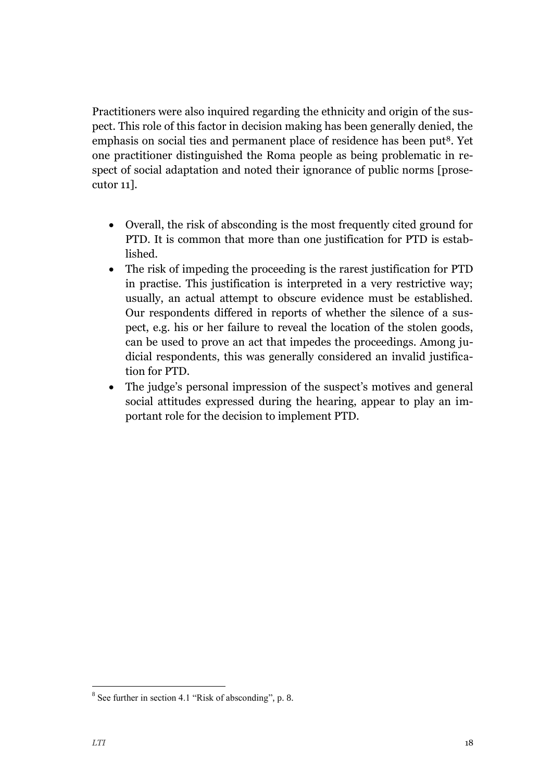Practitioners were also inquired regarding the ethnicity and origin of the suspect. This role of this factor in decision making has been generally denied, the emphasis on social ties and permanent place of residence has been put<sup>8</sup>. Yet one practitioner distinguished the Roma people as being problematic in respect of social adaptation and noted their ignorance of public norms [prosecutor 11].

- Overall, the risk of absconding is the most frequently cited ground for PTD. It is common that more than one justification for PTD is established.
- The risk of impeding the proceeding is the rarest justification for PTD in practise. This justification is interpreted in a very restrictive way; usually, an actual attempt to obscure evidence must be established. Our respondents differed in reports of whether the silence of a suspect, e.g. his or her failure to reveal the location of the stolen goods, can be used to prove an act that impedes the proceedings. Among judicial respondents, this was generally considered an invalid justification for PTD.
- The judge's personal impression of the suspect's motives and general social attitudes expressed during the hearing, appear to play an important role for the decision to implement PTD.

-

 $8$  See further in section 4.1 "Risk of absconding", p. 8.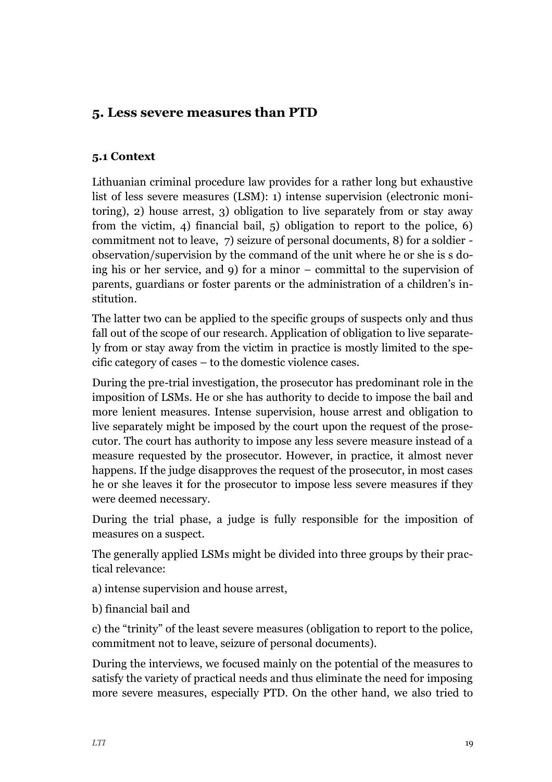## <span id="page-19-0"></span>**5. Less severe measures than PTD**

#### <span id="page-19-1"></span>**5.1 Context**

Lithuanian criminal procedure law provides for a rather long but exhaustive list of less severe measures (LSM): 1) intense supervision (electronic monitoring), 2) house arrest, 3) obligation to live separately from or stay away from the victim, 4) financial bail, 5) obligation to report to the police, 6) commitment not to leave, 7) seizure of personal documents, 8) for a soldier observation/supervision by the command of the unit where he or she is s doing his or her service, and 9) for a minor – committal to the supervision of parents, guardians or foster parents or the administration of a children's institution.

The latter two can be applied to the specific groups of suspects only and thus fall out of the scope of our research. Application of obligation to live separately from or stay away from the victim in practice is mostly limited to the specific category of cases – to the domestic violence cases.

During the pre-trial investigation, the prosecutor has predominant role in the imposition of LSMs. He or she has authority to decide to impose the bail and more lenient measures. Intense supervision, house arrest and obligation to live separately might be imposed by the court upon the request of the prosecutor. The court has authority to impose any less severe measure instead of a measure requested by the prosecutor. However, in practice, it almost never happens. If the judge disapproves the request of the prosecutor, in most cases he or she leaves it for the prosecutor to impose less severe measures if they were deemed necessary.

During the trial phase, a judge is fully responsible for the imposition of measures on a suspect.

The generally applied LSMs might be divided into three groups by their practical relevance:

a) intense supervision and house arrest,

b) financial bail and

c) the "trinity" of the least severe measures (obligation to report to the police, commitment not to leave, seizure of personal documents).

During the interviews, we focused mainly on the potential of the measures to satisfy the variety of practical needs and thus eliminate the need for imposing more severe measures, especially PTD. On the other hand, we also tried to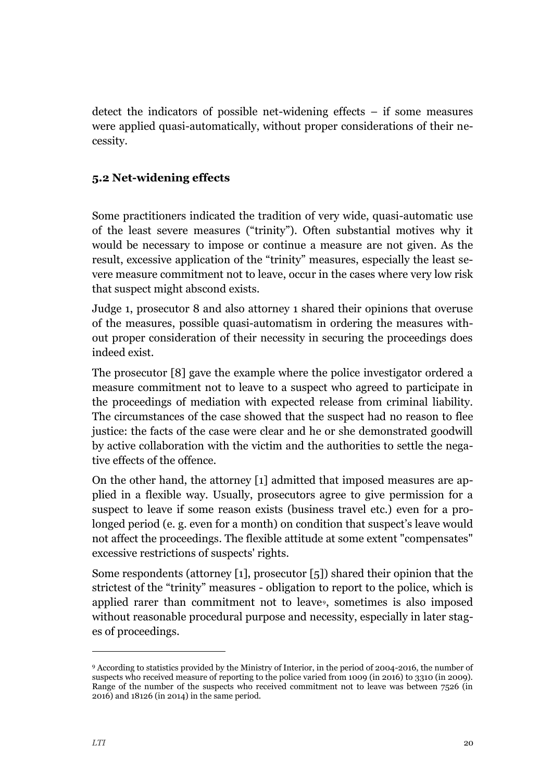detect the indicators of possible net-widening effects – if some measures were applied quasi-automatically, without proper considerations of their necessity.

### <span id="page-20-0"></span>**5.2 Net-widening effects**

Some practitioners indicated the tradition of very wide, quasi-automatic use of the least severe measures ("trinity"). Often substantial motives why it would be necessary to impose or continue a measure are not given. As the result, excessive application of the "trinity" measures, especially the least severe measure commitment not to leave, occur in the cases where very low risk that suspect might abscond exists.

Judge 1, prosecutor 8 and also attorney 1 shared their opinions that overuse of the measures, possible quasi-automatism in ordering the measures without proper consideration of their necessity in securing the proceedings does indeed exist.

The prosecutor [8] gave the example where the police investigator ordered a measure commitment not to leave to a suspect who agreed to participate in the proceedings of mediation with expected release from criminal liability. The circumstances of the case showed that the suspect had no reason to flee justice: the facts of the case were clear and he or she demonstrated goodwill by active collaboration with the victim and the authorities to settle the negative effects of the offence.

On the other hand, the attorney [1] admitted that imposed measures are applied in a flexible way. Usually, prosecutors agree to give permission for a suspect to leave if some reason exists (business travel etc.) even for a prolonged period (e. g. even for a month) on condition that suspect's leave would not affect the proceedings. The flexible attitude at some extent "compensates" excessive restrictions of suspects' rights.

Some respondents (attorney [1], prosecutor [5]) shared their opinion that the strictest of the "trinity" measures - obligation to report to the police, which is applied rarer than commitment not to leave<sup>9</sup>, sometimes is also imposed without reasonable procedural purpose and necessity, especially in later stages of proceedings.

-

<sup>9</sup> According to statistics provided by the Ministry of Interior, in the period of 2004-2016, the number of suspects who received measure of reporting to the police varied from 1009 (in 2016) to 3310 (in 2009). Range of the number of the suspects who received commitment not to leave was between 7526 (in 2016) and 18126 (in 2014) in the same period.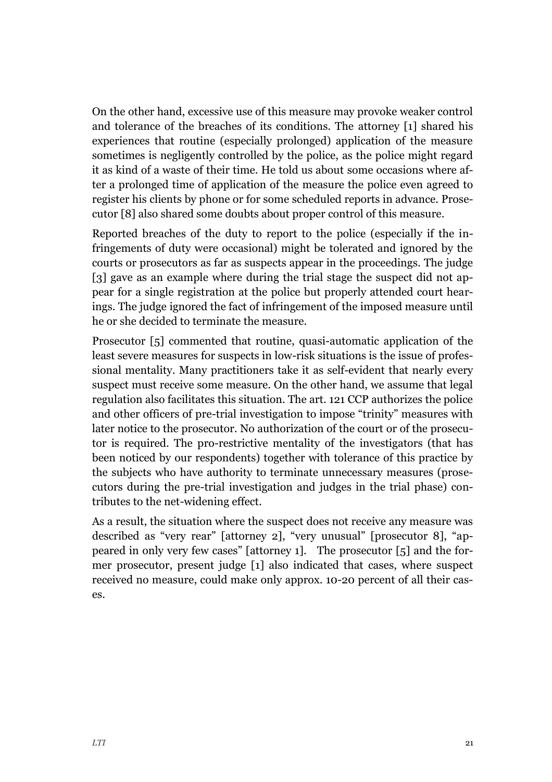On the other hand, excessive use of this measure may provoke weaker control and tolerance of the breaches of its conditions. The attorney [1] shared his experiences that routine (especially prolonged) application of the measure sometimes is negligently controlled by the police, as the police might regard it as kind of a waste of their time. He told us about some occasions where after a prolonged time of application of the measure the police even agreed to register his clients by phone or for some scheduled reports in advance. Prosecutor [8] also shared some doubts about proper control of this measure.

Reported breaches of the duty to report to the police (especially if the infringements of duty were occasional) might be tolerated and ignored by the courts or prosecutors as far as suspects appear in the proceedings. The judge [3] gave as an example where during the trial stage the suspect did not appear for a single registration at the police but properly attended court hearings. The judge ignored the fact of infringement of the imposed measure until he or she decided to terminate the measure.

Prosecutor [5] commented that routine, quasi-automatic application of the least severe measures for suspects in low-risk situations is the issue of professional mentality. Many practitioners take it as self-evident that nearly every suspect must receive some measure. On the other hand, we assume that legal regulation also facilitates this situation. The art. 121 CCP authorizes the police and other officers of pre-trial investigation to impose "trinity" measures with later notice to the prosecutor. No authorization of the court or of the prosecutor is required. The pro-restrictive mentality of the investigators (that has been noticed by our respondents) together with tolerance of this practice by the subjects who have authority to terminate unnecessary measures (prosecutors during the pre-trial investigation and judges in the trial phase) contributes to the net-widening effect.

As a result, the situation where the suspect does not receive any measure was described as "very rear" [attorney 2], "very unusual" [prosecutor 8], "appeared in only very few cases" [attorney 1]. The prosecutor [5] and the former prosecutor, present judge [1] also indicated that cases, where suspect received no measure, could make only approx. 10-20 percent of all their cases.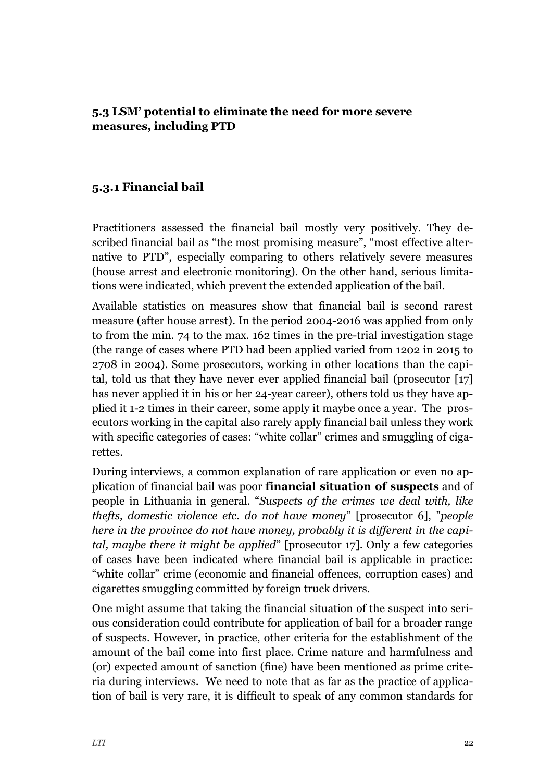<span id="page-22-0"></span>**5.3 LSM' potential to eliminate the need for more severe measures, including PTD**

## **5.3.1 Financial bail**

Practitioners assessed the financial bail mostly very positively. They described financial bail as "the most promising measure", "most effective alternative to PTD", especially comparing to others relatively severe measures (house arrest and electronic monitoring). On the other hand, serious limitations were indicated, which prevent the extended application of the bail.

Available statistics on measures show that financial bail is second rarest measure (after house arrest). In the period 2004-2016 was applied from only to from the min. 74 to the max. 162 times in the pre-trial investigation stage (the range of cases where PTD had been applied varied from 1202 in 2015 to 2708 in 2004). Some prosecutors, working in other locations than the capital, told us that they have never ever applied financial bail (prosecutor [17] has never applied it in his or her 24-year career), others told us they have applied it 1-2 times in their career, some apply it maybe once a year. The prosecutors working in the capital also rarely apply financial bail unless they work with specific categories of cases: "white collar" crimes and smuggling of cigarettes.

During interviews, a common explanation of rare application or even no application of financial bail was poor **financial situation of suspects** and of people in Lithuania in general. "*Suspects of the crimes we deal with, like thefts, domestic violence etc. do not have money*" [prosecutor 6], "*people here in the province do not have money, probably it is different in the capital, maybe there it might be applied*" [prosecutor 17]. Only a few categories of cases have been indicated where financial bail is applicable in practice: "white collar" crime (economic and financial offences, corruption cases) and cigarettes smuggling committed by foreign truck drivers.

One might assume that taking the financial situation of the suspect into serious consideration could contribute for application of bail for a broader range of suspects. However, in practice, other criteria for the establishment of the amount of the bail come into first place. Crime nature and harmfulness and (or) expected amount of sanction (fine) have been mentioned as prime criteria during interviews. We need to note that as far as the practice of application of bail is very rare, it is difficult to speak of any common standards for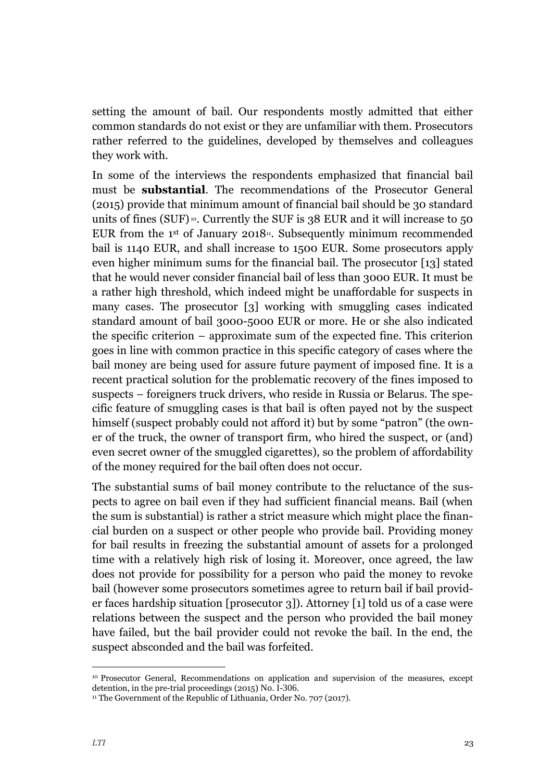setting the amount of bail. Our respondents mostly admitted that either common standards do not exist or they are unfamiliar with them. Prosecutors rather referred to the guidelines, developed by themselves and colleagues they work with.

In some of the interviews the respondents emphasized that financial bail must be **substantial**. The recommendations of the Prosecutor General (2015) provide that minimum amount of financial bail should be 30 standard units of fines (SUF)<sup>10</sup>. Currently the SUF is  $38$  EUR and it will increase to 50 EUR from the  $1<sup>st</sup>$  of January 2018<sup>11</sup>. Subsequently minimum recommended bail is 1140 EUR, and shall increase to 1500 EUR. Some prosecutors apply even higher minimum sums for the financial bail. The prosecutor [13] stated that he would never consider financial bail of less than 3000 EUR. It must be a rather high threshold, which indeed might be unaffordable for suspects in many cases. The prosecutor [3] working with smuggling cases indicated standard amount of bail 3000-5000 EUR or more. He or she also indicated the specific criterion – approximate sum of the expected fine. This criterion goes in line with common practice in this specific category of cases where the bail money are being used for assure future payment of imposed fine. It is a recent practical solution for the problematic recovery of the fines imposed to suspects – foreigners truck drivers, who reside in Russia or Belarus. The specific feature of smuggling cases is that bail is often payed not by the suspect himself (suspect probably could not afford it) but by some "patron" (the owner of the truck, the owner of transport firm, who hired the suspect, or (and) even secret owner of the smuggled cigarettes), so the problem of affordability of the money required for the bail often does not occur.

The substantial sums of bail money contribute to the reluctance of the suspects to agree on bail even if they had sufficient financial means. Bail (when the sum is substantial) is rather a strict measure which might place the financial burden on a suspect or other people who provide bail. Providing money for bail results in freezing the substantial amount of assets for a prolonged time with a relatively high risk of losing it. Moreover, once agreed, the law does not provide for possibility for a person who paid the money to revoke bail (however some prosecutors sometimes agree to return bail if bail provider faces hardship situation [prosecutor 3]). Attorney [1] told us of a case were relations between the suspect and the person who provided the bail money have failed, but the bail provider could not revoke the bail. In the end, the suspect absconded and the bail was forfeited.

j

<sup>10</sup> Prosecutor General, Recommendations on application and supervision of the measures, except detention, in the pre-trial proceedings (2015) No. I-306.

<sup>&</sup>lt;sup>11</sup> The Government of the Republic of Lithuania, Order No. 707 (2017).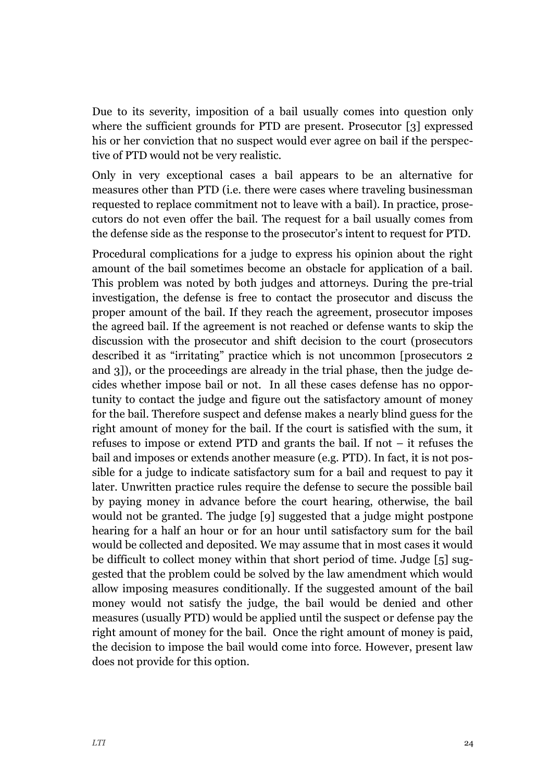Due to its severity, imposition of a bail usually comes into question only where the sufficient grounds for PTD are present. Prosecutor [3] expressed his or her conviction that no suspect would ever agree on bail if the perspective of PTD would not be very realistic.

Only in very exceptional cases a bail appears to be an alternative for measures other than PTD (i.e. there were cases where traveling businessman requested to replace commitment not to leave with a bail). In practice, prosecutors do not even offer the bail. The request for a bail usually comes from the defense side as the response to the prosecutor's intent to request for PTD.

Procedural complications for a judge to express his opinion about the right amount of the bail sometimes become an obstacle for application of a bail. This problem was noted by both judges and attorneys. During the pre-trial investigation, the defense is free to contact the prosecutor and discuss the proper amount of the bail. If they reach the agreement, prosecutor imposes the agreed bail. If the agreement is not reached or defense wants to skip the discussion with the prosecutor and shift decision to the court (prosecutors described it as "irritating" practice which is not uncommon [prosecutors 2 and 3]), or the proceedings are already in the trial phase, then the judge decides whether impose bail or not. In all these cases defense has no opportunity to contact the judge and figure out the satisfactory amount of money for the bail. Therefore suspect and defense makes a nearly blind guess for the right amount of money for the bail. If the court is satisfied with the sum, it refuses to impose or extend PTD and grants the bail. If not – it refuses the bail and imposes or extends another measure (e.g. PTD). In fact, it is not possible for a judge to indicate satisfactory sum for a bail and request to pay it later. Unwritten practice rules require the defense to secure the possible bail by paying money in advance before the court hearing, otherwise, the bail would not be granted. The judge [9] suggested that a judge might postpone hearing for a half an hour or for an hour until satisfactory sum for the bail would be collected and deposited. We may assume that in most cases it would be difficult to collect money within that short period of time. Judge [5] suggested that the problem could be solved by the law amendment which would allow imposing measures conditionally. If the suggested amount of the bail money would not satisfy the judge, the bail would be denied and other measures (usually PTD) would be applied until the suspect or defense pay the right amount of money for the bail. Once the right amount of money is paid, the decision to impose the bail would come into force. However, present law does not provide for this option.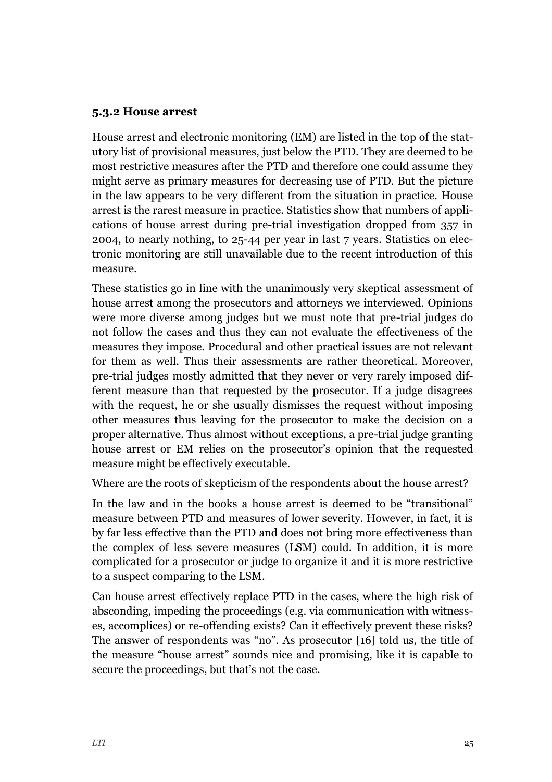#### **5.3.2 House arrest**

House arrest and electronic monitoring (EM) are listed in the top of the statutory list of provisional measures, just below the PTD. They are deemed to be most restrictive measures after the PTD and therefore one could assume they might serve as primary measures for decreasing use of PTD. But the picture in the law appears to be very different from the situation in practice. House arrest is the rarest measure in practice. Statistics show that numbers of applications of house arrest during pre-trial investigation dropped from 357 in 2004, to nearly nothing, to 25-44 per year in last 7 years. Statistics on electronic monitoring are still unavailable due to the recent introduction of this measure.

These statistics go in line with the unanimously very skeptical assessment of house arrest among the prosecutors and attorneys we interviewed. Opinions were more diverse among judges but we must note that pre-trial judges do not follow the cases and thus they can not evaluate the effectiveness of the measures they impose. Procedural and other practical issues are not relevant for them as well. Thus their assessments are rather theoretical. Moreover, pre-trial judges mostly admitted that they never or very rarely imposed different measure than that requested by the prosecutor. If a judge disagrees with the request, he or she usually dismisses the request without imposing other measures thus leaving for the prosecutor to make the decision on a proper alternative. Thus almost without exceptions, a pre-trial judge granting house arrest or EM relies on the prosecutor's opinion that the requested measure might be effectively executable.

Where are the roots of skepticism of the respondents about the house arrest?

In the law and in the books a house arrest is deemed to be "transitional" measure between PTD and measures of lower severity. However, in fact, it is by far less effective than the PTD and does not bring more effectiveness than the complex of less severe measures (LSM) could. In addition, it is more complicated for a prosecutor or judge to organize it and it is more restrictive to a suspect comparing to the LSM.

Can house arrest effectively replace PTD in the cases, where the high risk of absconding, impeding the proceedings (e.g. via communication with witnesses, accomplices) or re-offending exists? Can it effectively prevent these risks? The answer of respondents was "no". As prosecutor [16] told us, the title of the measure "house arrest" sounds nice and promising, like it is capable to secure the proceedings, but that's not the case.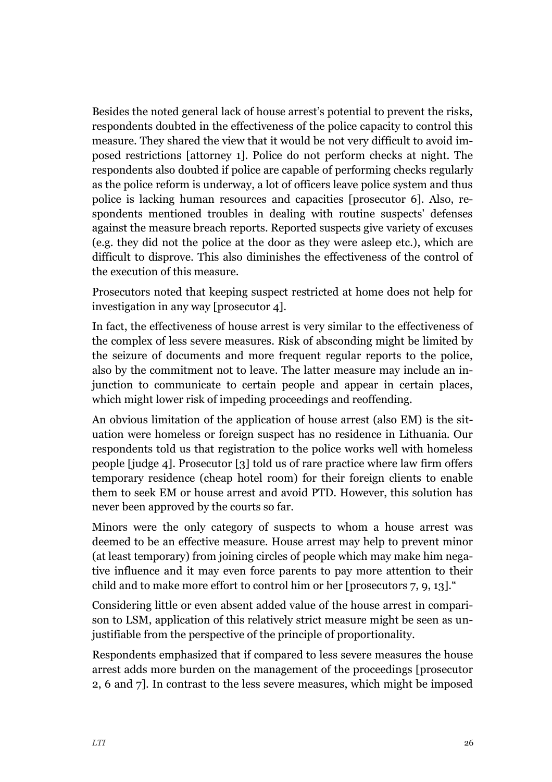Besides the noted general lack of house arrest's potential to prevent the risks, respondents doubted in the effectiveness of the police capacity to control this measure. They shared the view that it would be not very difficult to avoid imposed restrictions [attorney 1]. Police do not perform checks at night. The respondents also doubted if police are capable of performing checks regularly as the police reform is underway, a lot of officers leave police system and thus police is lacking human resources and capacities [prosecutor 6]. Also, respondents mentioned troubles in dealing with routine suspects' defenses against the measure breach reports. Reported suspects give variety of excuses (e.g. they did not the police at the door as they were asleep etc.), which are difficult to disprove. This also diminishes the effectiveness of the control of the execution of this measure.

Prosecutors noted that keeping suspect restricted at home does not help for investigation in any way [prosecutor 4].

In fact, the effectiveness of house arrest is very similar to the effectiveness of the complex of less severe measures. Risk of absconding might be limited by the seizure of documents and more frequent regular reports to the police, also by the commitment not to leave. The latter measure may include an injunction to communicate to certain people and appear in certain places, which might lower risk of impeding proceedings and reoffending.

An obvious limitation of the application of house arrest (also EM) is the situation were homeless or foreign suspect has no residence in Lithuania. Our respondents told us that registration to the police works well with homeless people [judge 4]. Prosecutor [3] told us of rare practice where law firm offers temporary residence (cheap hotel room) for their foreign clients to enable them to seek EM or house arrest and avoid PTD. However, this solution has never been approved by the courts so far.

Minors were the only category of suspects to whom a house arrest was deemed to be an effective measure. House arrest may help to prevent minor (at least temporary) from joining circles of people which may make him negative influence and it may even force parents to pay more attention to their child and to make more effort to control him or her [prosecutors 7, 9, 13]."

Considering little or even absent added value of the house arrest in comparison to LSM, application of this relatively strict measure might be seen as unjustifiable from the perspective of the principle of proportionality.

Respondents emphasized that if compared to less severe measures the house arrest adds more burden on the management of the proceedings [prosecutor 2, 6 and 7]. In contrast to the less severe measures, which might be imposed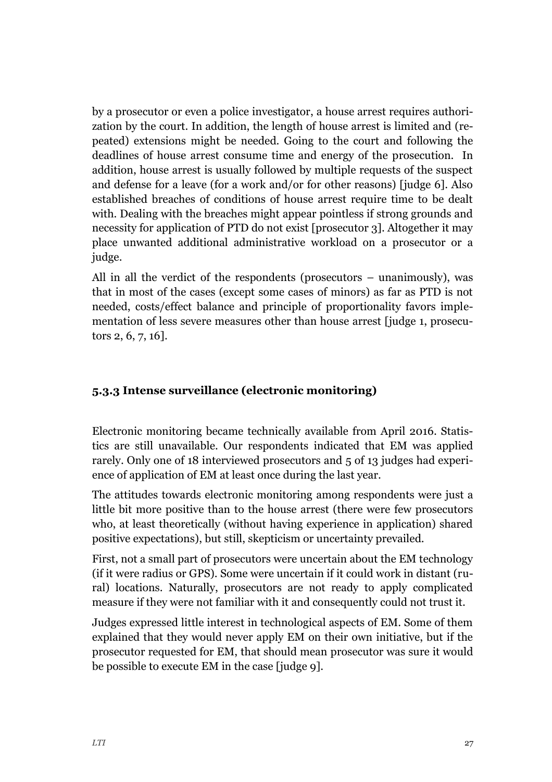by a prosecutor or even a police investigator, a house arrest requires authorization by the court. In addition, the length of house arrest is limited and (repeated) extensions might be needed. Going to the court and following the deadlines of house arrest consume time and energy of the prosecution. In addition, house arrest is usually followed by multiple requests of the suspect and defense for a leave (for a work and/or for other reasons) [judge 6]. Also established breaches of conditions of house arrest require time to be dealt with. Dealing with the breaches might appear pointless if strong grounds and necessity for application of PTD do not exist [prosecutor 3]. Altogether it may place unwanted additional administrative workload on a prosecutor or a judge.

All in all the verdict of the respondents (prosecutors – unanimously), was that in most of the cases (except some cases of minors) as far as PTD is not needed, costs/effect balance and principle of proportionality favors implementation of less severe measures other than house arrest [judge 1, prosecutors 2, 6, 7, 16].

#### **5.3.3 Intense surveillance (electronic monitoring)**

Electronic monitoring became technically available from April 2016. Statistics are still unavailable. Our respondents indicated that EM was applied rarely. Only one of 18 interviewed prosecutors and 5 of 13 judges had experience of application of EM at least once during the last year.

The attitudes towards electronic monitoring among respondents were just a little bit more positive than to the house arrest (there were few prosecutors who, at least theoretically (without having experience in application) shared positive expectations), but still, skepticism or uncertainty prevailed.

First, not a small part of prosecutors were uncertain about the EM technology (if it were radius or GPS). Some were uncertain if it could work in distant (rural) locations. Naturally, prosecutors are not ready to apply complicated measure if they were not familiar with it and consequently could not trust it.

Judges expressed little interest in technological aspects of EM. Some of them explained that they would never apply EM on their own initiative, but if the prosecutor requested for EM, that should mean prosecutor was sure it would be possible to execute EM in the case [judge 9].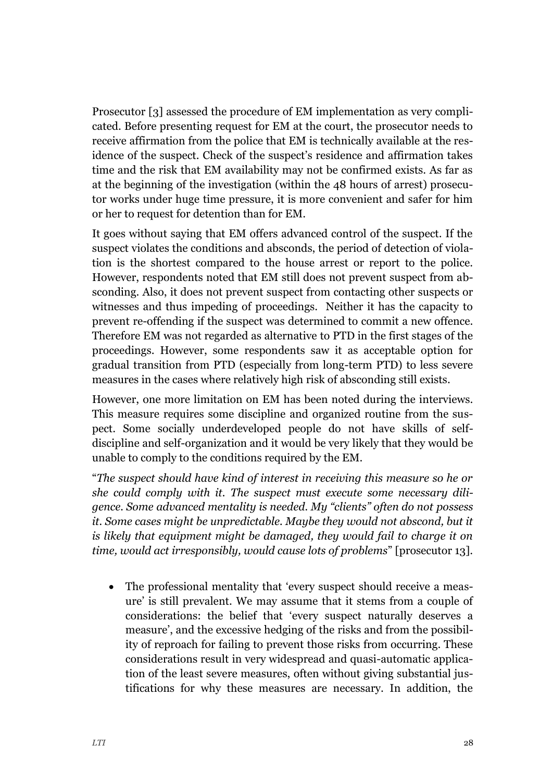Prosecutor [3] assessed the procedure of EM implementation as very complicated. Before presenting request for EM at the court, the prosecutor needs to receive affirmation from the police that EM is technically available at the residence of the suspect. Check of the suspect's residence and affirmation takes time and the risk that EM availability may not be confirmed exists. As far as at the beginning of the investigation (within the 48 hours of arrest) prosecutor works under huge time pressure, it is more convenient and safer for him or her to request for detention than for EM.

It goes without saying that EM offers advanced control of the suspect. If the suspect violates the conditions and absconds, the period of detection of violation is the shortest compared to the house arrest or report to the police. However, respondents noted that EM still does not prevent suspect from absconding. Also, it does not prevent suspect from contacting other suspects or witnesses and thus impeding of proceedings. Neither it has the capacity to prevent re-offending if the suspect was determined to commit a new offence. Therefore EM was not regarded as alternative to PTD in the first stages of the proceedings. However, some respondents saw it as acceptable option for gradual transition from PTD (especially from long-term PTD) to less severe measures in the cases where relatively high risk of absconding still exists.

However, one more limitation on EM has been noted during the interviews. This measure requires some discipline and organized routine from the suspect. Some socially underdeveloped people do not have skills of selfdiscipline and self-organization and it would be very likely that they would be unable to comply to the conditions required by the EM.

"*The suspect should have kind of interest in receiving this measure so he or she could comply with it. The suspect must execute some necessary diligence. Some advanced mentality is needed. My "clients" often do not possess it. Some cases might be unpredictable. Maybe they would not abscond, but it is likely that equipment might be damaged, they would fail to charge it on time, would act irresponsibly, would cause lots of problems*" [prosecutor 13].

 The professional mentality that 'every suspect should receive a measure' is still prevalent. We may assume that it stems from a couple of considerations: the belief that 'every suspect naturally deserves a measure', and the excessive hedging of the risks and from the possibility of reproach for failing to prevent those risks from occurring. These considerations result in very widespread and quasi-automatic application of the least severe measures, often without giving substantial justifications for why these measures are necessary. In addition, the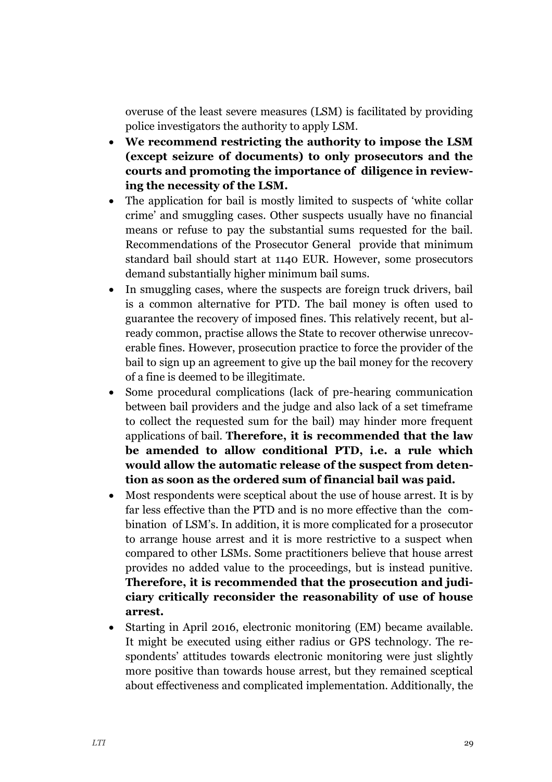overuse of the least severe measures (LSM) is facilitated by providing police investigators the authority to apply LSM.

- **We recommend restricting the authority to impose the LSM (except seizure of documents) to only prosecutors and the courts and promoting the importance of diligence in reviewing the necessity of the LSM.**
- The application for bail is mostly limited to suspects of 'white collar crime' and smuggling cases. Other suspects usually have no financial means or refuse to pay the substantial sums requested for the bail. Recommendations of the Prosecutor General provide that minimum standard bail should start at 1140 EUR. However, some prosecutors demand substantially higher minimum bail sums.
- In smuggling cases, where the suspects are foreign truck drivers, bail is a common alternative for PTD. The bail money is often used to guarantee the recovery of imposed fines. This relatively recent, but already common, practise allows the State to recover otherwise unrecoverable fines. However, prosecution practice to force the provider of the bail to sign up an agreement to give up the bail money for the recovery of a fine is deemed to be illegitimate.
- Some procedural complications (lack of pre-hearing communication between bail providers and the judge and also lack of a set timeframe to collect the requested sum for the bail) may hinder more frequent applications of bail. **Therefore, it is recommended that the law be amended to allow conditional PTD, i.e. a rule which would allow the automatic release of the suspect from detention as soon as the ordered sum of financial bail was paid.**
- Most respondents were sceptical about the use of house arrest. It is by far less effective than the PTD and is no more effective than the combination of LSM's. In addition, it is more complicated for a prosecutor to arrange house arrest and it is more restrictive to a suspect when compared to other LSMs. Some practitioners believe that house arrest provides no added value to the proceedings, but is instead punitive. **Therefore, it is recommended that the prosecution and judiciary critically reconsider the reasonability of use of house arrest.**
- Starting in April 2016, electronic monitoring (EM) became available. It might be executed using either radius or GPS technology. The respondents' attitudes towards electronic monitoring were just slightly more positive than towards house arrest, but they remained sceptical about effectiveness and complicated implementation. Additionally, the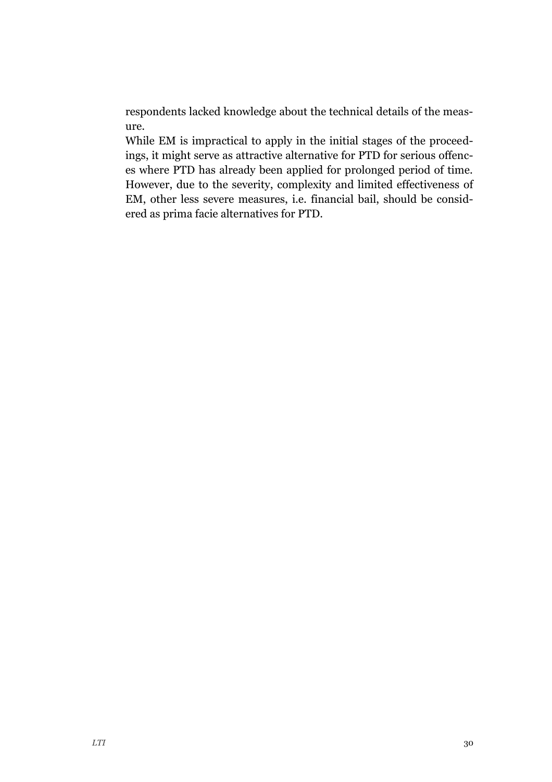respondents lacked knowledge about the technical details of the measure.

While EM is impractical to apply in the initial stages of the proceedings, it might serve as attractive alternative for PTD for serious offences where PTD has already been applied for prolonged period of time. However, due to the severity, complexity and limited effectiveness of EM, other less severe measures, i.e. financial bail, should be considered as prima facie alternatives for PTD.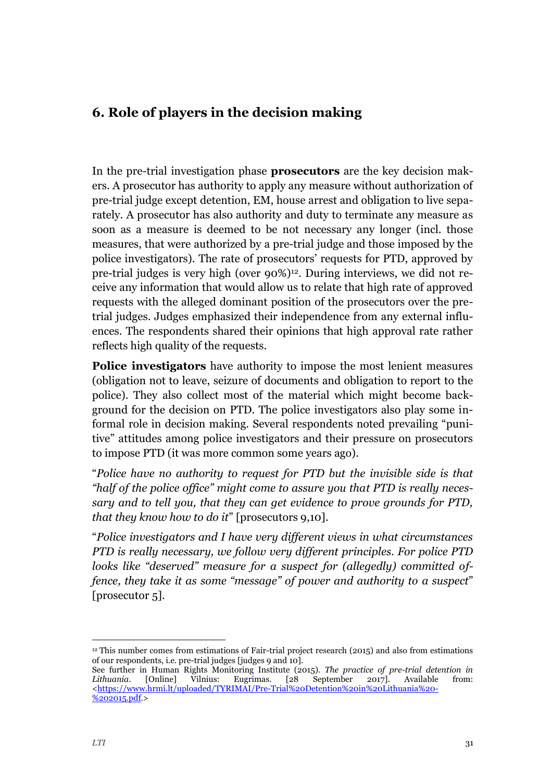## <span id="page-31-0"></span>**6. Role of players in the decision making**

In the pre-trial investigation phase **prosecutors** are the key decision makers. A prosecutor has authority to apply any measure without authorization of pre-trial judge except detention, EM, house arrest and obligation to live separately. A prosecutor has also authority and duty to terminate any measure as soon as a measure is deemed to be not necessary any longer (incl. those measures, that were authorized by a pre-trial judge and those imposed by the police investigators). The rate of prosecutors' requests for PTD, approved by pre-trial judges is very high (over 90%)12. During interviews, we did not receive any information that would allow us to relate that high rate of approved requests with the alleged dominant position of the prosecutors over the pretrial judges. Judges emphasized their independence from any external influences. The respondents shared their opinions that high approval rate rather reflects high quality of the requests.

**Police investigators** have authority to impose the most lenient measures (obligation not to leave, seizure of documents and obligation to report to the police). They also collect most of the material which might become background for the decision on PTD. The police investigators also play some informal role in decision making. Several respondents noted prevailing "punitive" attitudes among police investigators and their pressure on prosecutors to impose PTD (it was more common some years ago).

"*Police have no authority to request for PTD but the invisible side is that "half of the police office" might come to assure you that PTD is really necessary and to tell you, that they can get evidence to prove grounds for PTD, that they know how to do it*" [prosecutors 9,10].

"*Police investigators and I have very different views in what circumstances PTD is really necessary, we follow very different principles. For police PTD looks like "deserved" measure for a suspect for (allegedly) committed offence, they take it as some "message" of power and authority to a suspect"* [prosecutor 5].

-

<sup>12</sup> This number comes from estimations of Fair-trial project research (2015) and also from estimations of our respondents, i.e. pre-trial judges [judges 9 and 10].

See further in Human Rights Monitoring Institute (2015). *The practice of pre-trial detention in Lithuania.* [Online] Vilnius: Eugrimas. [28 September 2017]. Available from: [<https://www.hrmi.lt/uploaded/TYRIMAI/Pre-Trial%20Detention%20in%20Lithuania%20-](https://www.hrmi.lt/uploaded/TYRIMAI/Pre-Trial%20Detention%20in%20Lithuania%20-%202015.pdf) [%202015.pdf.](https://www.hrmi.lt/uploaded/TYRIMAI/Pre-Trial%20Detention%20in%20Lithuania%20-%202015.pdf)>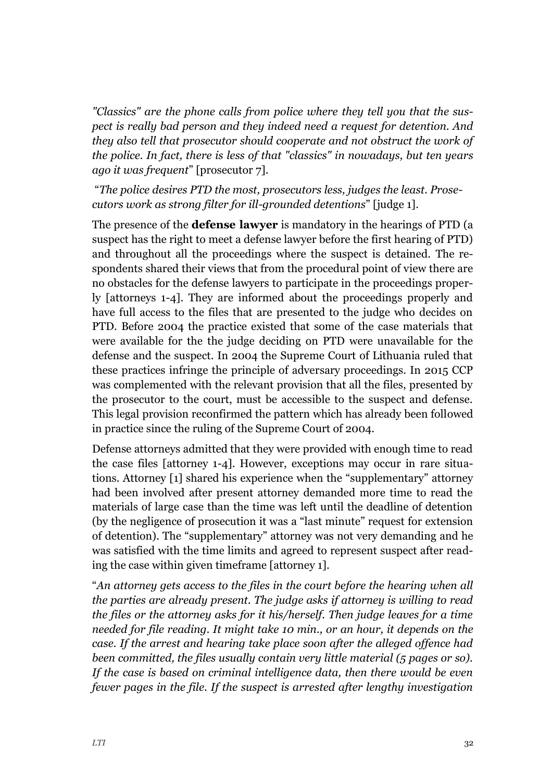*"Classics" are the phone calls from police where they tell you that the suspect is really bad person and they indeed need a request for detention. And they also tell that prosecutor should cooperate and not obstruct the work of the police. In fact, there is less of that "classics" in nowadays, but ten years ago it was frequent*" [prosecutor 7].

"*The police desires PTD the most, prosecutors less, judges the least. Prosecutors work as strong filter for ill-grounded detentions*" [judge 1].

The presence of the **defense lawyer** is mandatory in the hearings of PTD (a suspect has the right to meet a defense lawyer before the first hearing of PTD) and throughout all the proceedings where the suspect is detained. The respondents shared their views that from the procedural point of view there are no obstacles for the defense lawyers to participate in the proceedings properly [attorneys 1-4]. They are informed about the proceedings properly and have full access to the files that are presented to the judge who decides on PTD. Before 2004 the practice existed that some of the case materials that were available for the the judge deciding on PTD were unavailable for the defense and the suspect. In 2004 the Supreme Court of Lithuania ruled that these practices infringe the principle of adversary proceedings. In 2015 CCP was complemented with the relevant provision that all the files, presented by the prosecutor to the court, must be accessible to the suspect and defense. This legal provision reconfirmed the pattern which has already been followed in practice since the ruling of the Supreme Court of 2004.

Defense attorneys admitted that they were provided with enough time to read the case files [attorney 1-4]. However, exceptions may occur in rare situations. Attorney [1] shared his experience when the "supplementary" attorney had been involved after present attorney demanded more time to read the materials of large case than the time was left until the deadline of detention (by the negligence of prosecution it was a "last minute" request for extension of detention). The "supplementary" attorney was not very demanding and he was satisfied with the time limits and agreed to represent suspect after reading the case within given timeframe [attorney 1].

"*An attorney gets access to the files in the court before the hearing when all the parties are already present. The judge asks if attorney is willing to read the files or the attorney asks for it his/herself. Then judge leaves for a time needed for file reading. It might take 10 min., or an hour, it depends on the case. If the arrest and hearing take place soon after the alleged offence had been committed, the files usually contain very little material (5 pages or so). If the case is based on criminal intelligence data, then there would be even fewer pages in the file. If the suspect is arrested after lengthy investigation*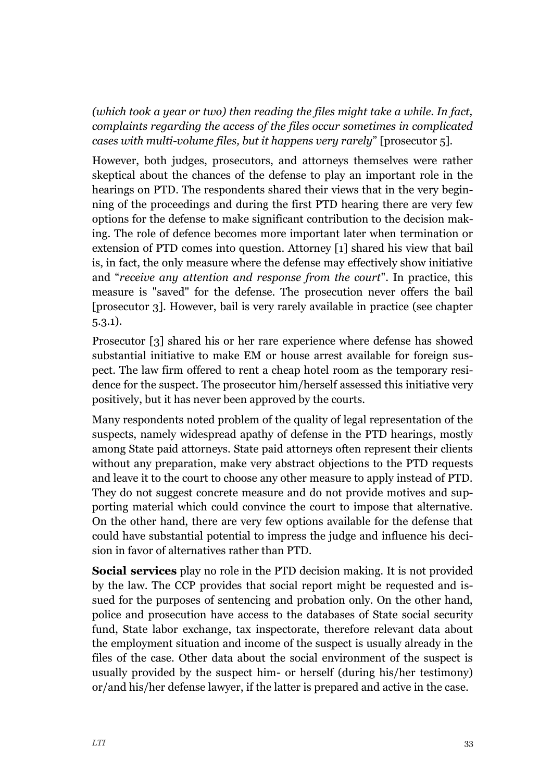*(which took a year or two) then reading the files might take a while. In fact, complaints regarding the access of the files occur sometimes in complicated cases with multi-volume files, but it happens very rarely*" [prosecutor 5].

However, both judges, prosecutors, and attorneys themselves were rather skeptical about the chances of the defense to play an important role in the hearings on PTD. The respondents shared their views that in the very beginning of the proceedings and during the first PTD hearing there are very few options for the defense to make significant contribution to the decision making. The role of defence becomes more important later when termination or extension of PTD comes into question. Attorney [1] shared his view that bail is, in fact, the only measure where the defense may effectively show initiative and "*receive any attention and response from the court*". In practice, this measure is "saved" for the defense. The prosecution never offers the bail [prosecutor 3]. However, bail is very rarely available in practice (see chapter 5.3.1).

Prosecutor [3] shared his or her rare experience where defense has showed substantial initiative to make EM or house arrest available for foreign suspect. The law firm offered to rent a cheap hotel room as the temporary residence for the suspect. The prosecutor him/herself assessed this initiative very positively, but it has never been approved by the courts.

Many respondents noted problem of the quality of legal representation of the suspects, namely widespread apathy of defense in the PTD hearings, mostly among State paid attorneys. State paid attorneys often represent their clients without any preparation, make very abstract objections to the PTD requests and leave it to the court to choose any other measure to apply instead of PTD. They do not suggest concrete measure and do not provide motives and supporting material which could convince the court to impose that alternative. On the other hand, there are very few options available for the defense that could have substantial potential to impress the judge and influence his decision in favor of alternatives rather than PTD.

**Social services** play no role in the PTD decision making. It is not provided by the law. The CCP provides that social report might be requested and issued for the purposes of sentencing and probation only. On the other hand, police and prosecution have access to the databases of State social security fund, State labor exchange, tax inspectorate, therefore relevant data about the employment situation and income of the suspect is usually already in the files of the case. Other data about the social environment of the suspect is usually provided by the suspect him- or herself (during his/her testimony) or/and his/her defense lawyer, if the latter is prepared and active in the case.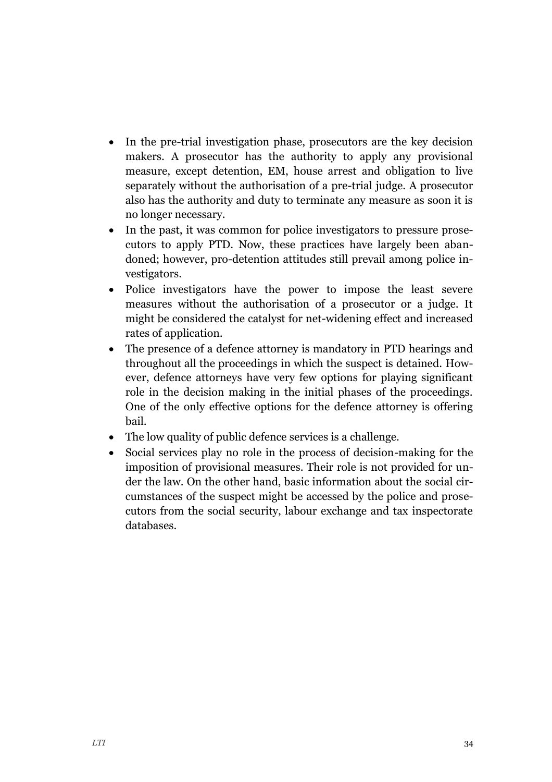- In the pre-trial investigation phase, prosecutors are the key decision makers. A prosecutor has the authority to apply any provisional measure, except detention, EM, house arrest and obligation to live separately without the authorisation of a pre-trial judge. A prosecutor also has the authority and duty to terminate any measure as soon it is no longer necessary.
- In the past, it was common for police investigators to pressure prosecutors to apply PTD. Now, these practices have largely been abandoned; however, pro-detention attitudes still prevail among police investigators.
- Police investigators have the power to impose the least severe measures without the authorisation of a prosecutor or a judge. It might be considered the catalyst for net-widening effect and increased rates of application.
- The presence of a defence attorney is mandatory in PTD hearings and throughout all the proceedings in which the suspect is detained. However, defence attorneys have very few options for playing significant role in the decision making in the initial phases of the proceedings. One of the only effective options for the defence attorney is offering bail.
- The low quality of public defence services is a challenge.
- Social services play no role in the process of decision-making for the imposition of provisional measures. Their role is not provided for under the law. On the other hand, basic information about the social circumstances of the suspect might be accessed by the police and prosecutors from the social security, labour exchange and tax inspectorate databases.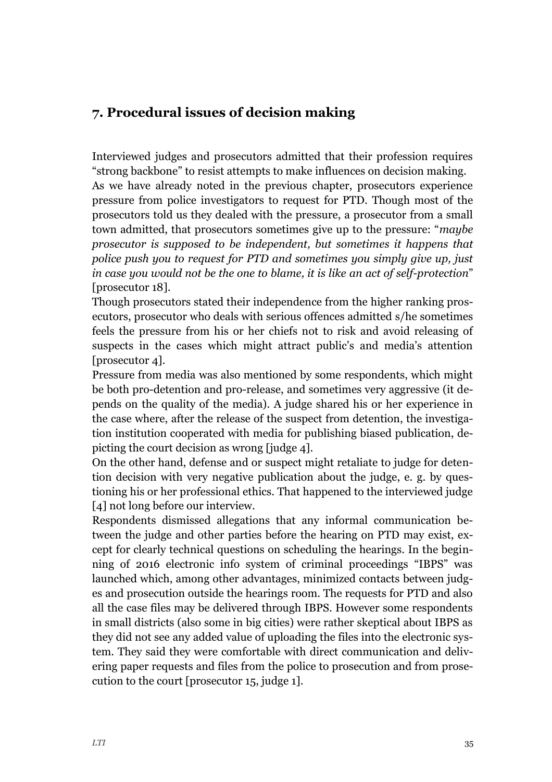## <span id="page-35-0"></span>**7. Procedural issues of decision making**

Interviewed judges and prosecutors admitted that their profession requires "strong backbone" to resist attempts to make influences on decision making. As we have already noted in the previous chapter, prosecutors experience pressure from police investigators to request for PTD. Though most of the prosecutors told us they dealed with the pressure, a prosecutor from a small town admitted, that prosecutors sometimes give up to the pressure: "*maybe prosecutor is supposed to be independent, but sometimes it happens that police push you to request for PTD and sometimes you simply give up, just in case you would not be the one to blame, it is like an act of self-protection*" [prosecutor 18].

Though prosecutors stated their independence from the higher ranking prosecutors, prosecutor who deals with serious offences admitted s/he sometimes feels the pressure from his or her chiefs not to risk and avoid releasing of suspects in the cases which might attract public's and media's attention [prosecutor 4].

Pressure from media was also mentioned by some respondents, which might be both pro-detention and pro-release, and sometimes very aggressive (it depends on the quality of the media). A judge shared his or her experience in the case where, after the release of the suspect from detention, the investigation institution cooperated with media for publishing biased publication, depicting the court decision as wrong [judge 4].

On the other hand, defense and or suspect might retaliate to judge for detention decision with very negative publication about the judge, e. g. by questioning his or her professional ethics. That happened to the interviewed judge [4] not long before our interview.

Respondents dismissed allegations that any informal communication between the judge and other parties before the hearing on PTD may exist, except for clearly technical questions on scheduling the hearings. In the beginning of 2016 electronic info system of criminal proceedings "IBPS" was launched which, among other advantages, minimized contacts between judges and prosecution outside the hearings room. The requests for PTD and also all the case files may be delivered through IBPS. However some respondents in small districts (also some in big cities) were rather skeptical about IBPS as they did not see any added value of uploading the files into the electronic system. They said they were comfortable with direct communication and delivering paper requests and files from the police to prosecution and from prosecution to the court [prosecutor 15, judge 1].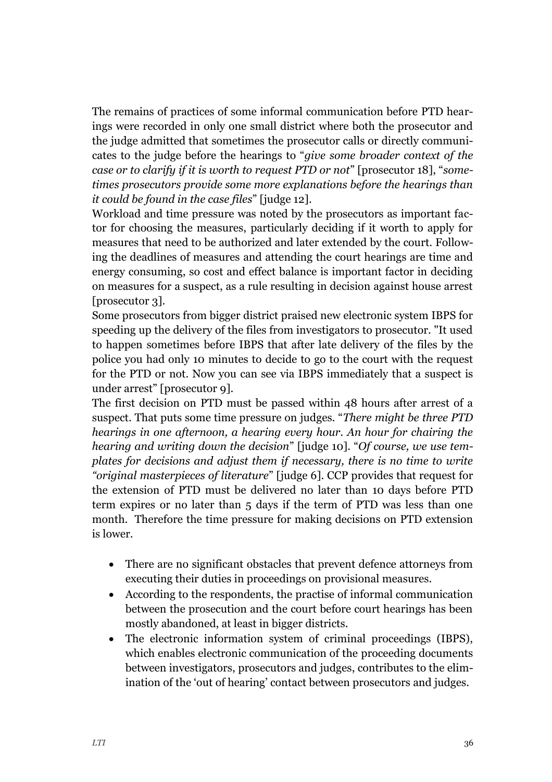The remains of practices of some informal communication before PTD hearings were recorded in only one small district where both the prosecutor and the judge admitted that sometimes the prosecutor calls or directly communicates to the judge before the hearings to "*give some broader context of the case or to clarify if it is worth to request PTD or not*" [prosecutor 18], "*sometimes prosecutors provide some more explanations before the hearings than it could be found in the case files*" [judge 12].

Workload and time pressure was noted by the prosecutors as important factor for choosing the measures, particularly deciding if it worth to apply for measures that need to be authorized and later extended by the court. Following the deadlines of measures and attending the court hearings are time and energy consuming, so cost and effect balance is important factor in deciding on measures for a suspect, as a rule resulting in decision against house arrest [prosecutor 3].

Some prosecutors from bigger district praised new electronic system IBPS for speeding up the delivery of the files from investigators to prosecutor. "It used to happen sometimes before IBPS that after late delivery of the files by the police you had only 10 minutes to decide to go to the court with the request for the PTD or not. Now you can see via IBPS immediately that a suspect is under arrest" [prosecutor 9].

The first decision on PTD must be passed within 48 hours after arrest of a suspect. That puts some time pressure on judges. "*There might be three PTD hearings in one afternoon, a hearing every hour. An hour for chairing the hearing and writing down the decision*" [judge 10]. "*Of course, we use templates for decisions and adjust them if necessary, there is no time to write "original masterpieces of literature*" [judge 6]. CCP provides that request for the extension of PTD must be delivered no later than 10 days before PTD term expires or no later than 5 days if the term of PTD was less than one month. Therefore the time pressure for making decisions on PTD extension is lower.

- There are no significant obstacles that prevent defence attorneys from executing their duties in proceedings on provisional measures.
- According to the respondents, the practise of informal communication between the prosecution and the court before court hearings has been mostly abandoned, at least in bigger districts.
- The electronic information system of criminal proceedings (IBPS), which enables electronic communication of the proceeding documents between investigators, prosecutors and judges, contributes to the elimination of the 'out of hearing' contact between prosecutors and judges.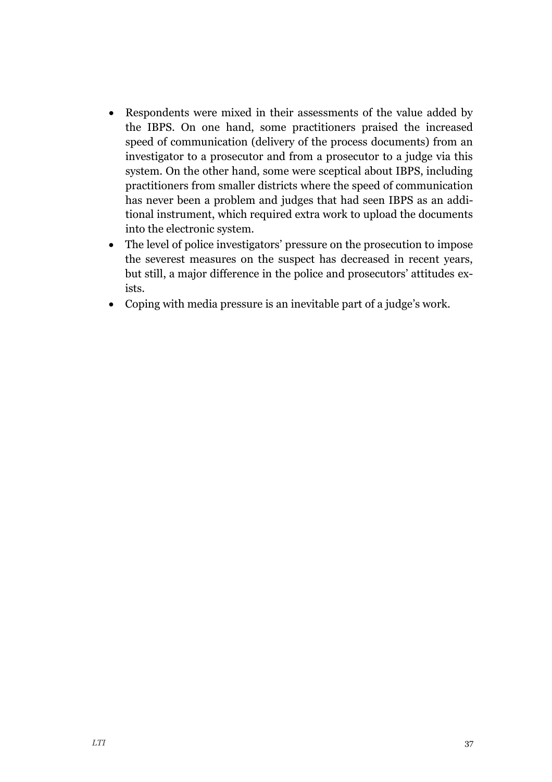- Respondents were mixed in their assessments of the value added by the IBPS. On one hand, some practitioners praised the increased speed of communication (delivery of the process documents) from an investigator to a prosecutor and from a prosecutor to a judge via this system. On the other hand, some were sceptical about IBPS, including practitioners from smaller districts where the speed of communication has never been a problem and judges that had seen IBPS as an additional instrument, which required extra work to upload the documents into the electronic system.
- The level of police investigators' pressure on the prosecution to impose the severest measures on the suspect has decreased in recent years, but still, a major difference in the police and prosecutors' attitudes exists.
- Coping with media pressure is an inevitable part of a judge's work.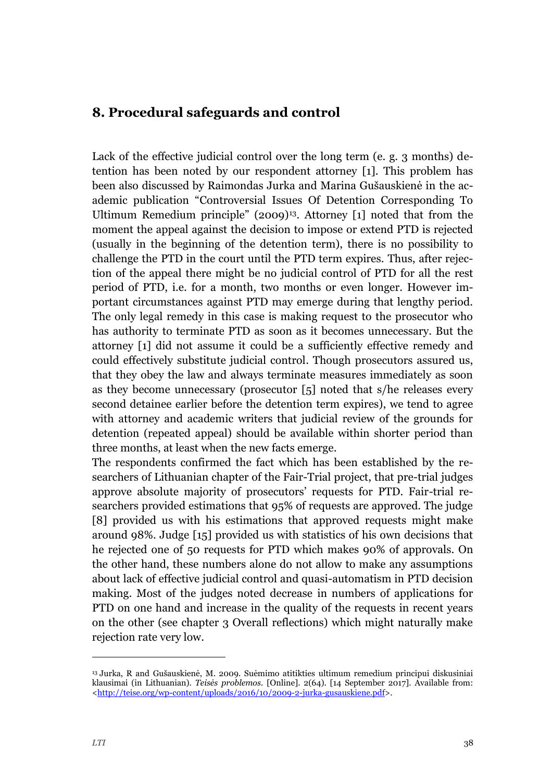## <span id="page-38-0"></span>**8. Procedural safeguards and control**

Lack of the effective judicial control over the long term (e. g. 3 months) detention has been noted by our respondent attorney [1]. This problem has been also discussed by Raimondas Jurka and Marina Gušauskienė in the academic publication "Controversial Issues Of Detention Corresponding To Ultimum Remedium principle" (2009)<sup>13</sup>. Attorney [1] noted that from the moment the appeal against the decision to impose or extend PTD is rejected (usually in the beginning of the detention term), there is no possibility to challenge the PTD in the court until the PTD term expires. Thus, after rejection of the appeal there might be no judicial control of PTD for all the rest period of PTD, i.e. for a month, two months or even longer. However important circumstances against PTD may emerge during that lengthy period. The only legal remedy in this case is making request to the prosecutor who has authority to terminate PTD as soon as it becomes unnecessary. But the attorney [1] did not assume it could be a sufficiently effective remedy and could effectively substitute judicial control. Though prosecutors assured us, that they obey the law and always terminate measures immediately as soon as they become unnecessary (prosecutor [5] noted that s/he releases every second detainee earlier before the detention term expires), we tend to agree with attorney and academic writers that judicial review of the grounds for detention (repeated appeal) should be available within shorter period than three months, at least when the new facts emerge.

The respondents confirmed the fact which has been established by the researchers of Lithuanian chapter of the Fair-Trial project, that pre-trial judges approve absolute majority of prosecutors' requests for PTD. Fair-trial researchers provided estimations that 95% of requests are approved. The judge [8] provided us with his estimations that approved requests might make around 98%. Judge [15] provided us with statistics of his own decisions that he rejected one of 50 requests for PTD which makes 90% of approvals. On the other hand, these numbers alone do not allow to make any assumptions about lack of effective judicial control and quasi-automatism in PTD decision making. Most of the judges noted decrease in numbers of applications for PTD on one hand and increase in the quality of the requests in recent years on the other (see chapter 3 Overall reflections) which might naturally make rejection rate very low.

j

<sup>13</sup> Jurka, R and Gušauskienė, M. 2009. Suėmimo atitikties ultimum remedium principui diskusiniai klausimai (in Lithuanian). *Teisės problemos.* [Online]. 2(64). [14 September 2017]. Available from: [<http://teise.org/wp-content/uploads/2016/10/2009-2-jurka-gusauskiene.pdf>](http://teise.org/wp-content/uploads/2016/10/2009-2-jurka-gusauskiene.pdf).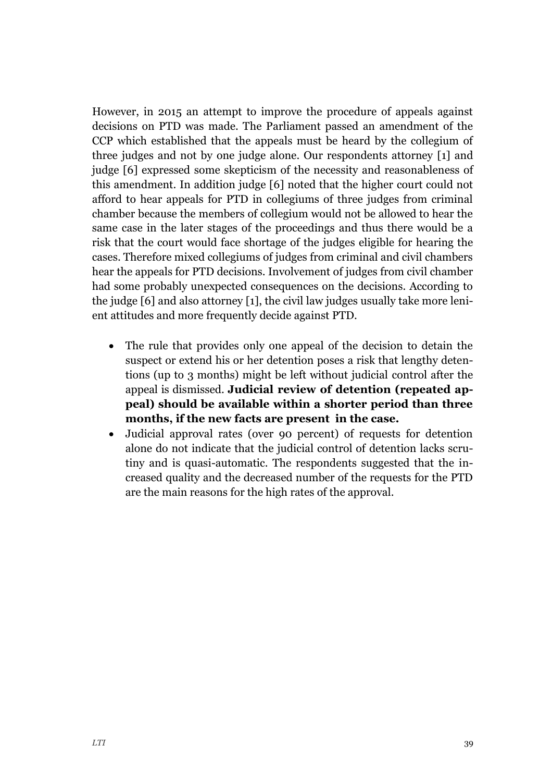However, in 2015 an attempt to improve the procedure of appeals against decisions on PTD was made. The Parliament passed an amendment of the CCP which established that the appeals must be heard by the collegium of three judges and not by one judge alone. Our respondents attorney [1] and judge [6] expressed some skepticism of the necessity and reasonableness of this amendment. In addition judge [6] noted that the higher court could not afford to hear appeals for PTD in collegiums of three judges from criminal chamber because the members of collegium would not be allowed to hear the same case in the later stages of the proceedings and thus there would be a risk that the court would face shortage of the judges eligible for hearing the cases. Therefore mixed collegiums of judges from criminal and civil chambers hear the appeals for PTD decisions. Involvement of judges from civil chamber had some probably unexpected consequences on the decisions. According to the judge [6] and also attorney [1], the civil law judges usually take more lenient attitudes and more frequently decide against PTD.

- The rule that provides only one appeal of the decision to detain the suspect or extend his or her detention poses a risk that lengthy detentions (up to 3 months) might be left without judicial control after the appeal is dismissed. **Judicial review of detention (repeated appeal) should be available within a shorter period than three months, if the new facts are present in the case.**
- Judicial approval rates (over 90 percent) of requests for detention alone do not indicate that the judicial control of detention lacks scrutiny and is quasi-automatic. The respondents suggested that the increased quality and the decreased number of the requests for the PTD are the main reasons for the high rates of the approval.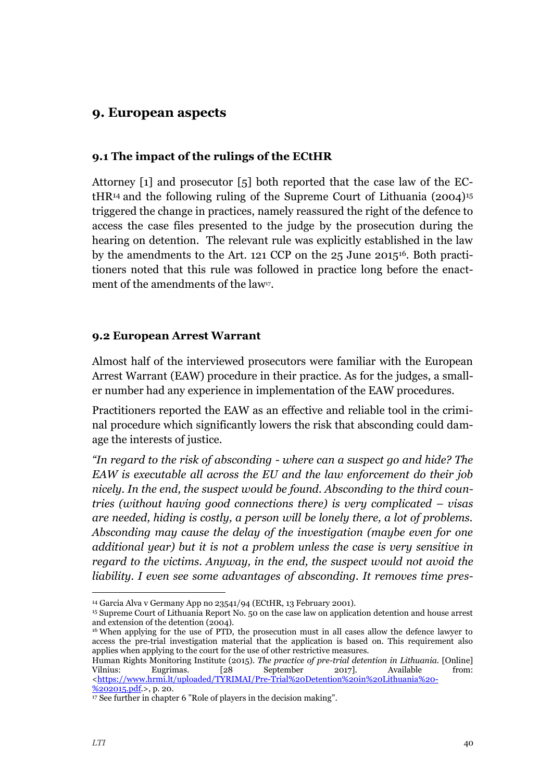## <span id="page-40-0"></span>**9. European aspects**

#### <span id="page-40-1"></span>**9.1 The impact of the rulings of the ECtHR**

Attorney [1] and prosecutor [5] both reported that the case law of the EC- $HIR<sup>14</sup>$  and the following ruling of the Supreme Court of Lithuania (2004)<sup>15</sup> triggered the change in practices, namely reassured the right of the defence to access the case files presented to the judge by the prosecution during the hearing on detention. The relevant rule was explicitly established in the law by the amendments to the Art. 121 CCP on the 25 June 201516. Both practitioners noted that this rule was followed in practice long before the enactment of the amendments of the law $\nu$ .

#### <span id="page-40-2"></span>**9.2 European Arrest Warrant**

Almost half of the interviewed prosecutors were familiar with the European Arrest Warrant (EAW) procedure in their practice. As for the judges, a smaller number had any experience in implementation of the EAW procedures.

Practitioners reported the EAW as an effective and reliable tool in the criminal procedure which significantly lowers the risk that absconding could damage the interests of justice.

*"In regard to the risk of absconding - where can a suspect go and hide? The EAW is executable all across the EU and the law enforcement do their job nicely. In the end, the suspect would be found. Absconding to the third countries (without having good connections there) is very complicated – visas are needed, hiding is costly, a person will be lonely there, a lot of problems. Absconding may cause the delay of the investigation (maybe even for one additional year) but it is not a problem unless the case is very sensitive in regard to the victims. Anyway, in the end, the suspect would not avoid the liability. I even see some advantages of absconding. It removes time pres-*

Human Rights Monitoring Institute (2015). *The practice of pre-trial detention in Lithuania.* [Online] Vilnius: Eugrimas. [28 September 2017]. Available from: [<https://www.hrmi.lt/uploaded/TYRIMAI/Pre-Trial%20Detention%20in%20Lithuania%20-](https://www.hrmi.lt/uploaded/TYRIMAI/Pre-Trial%20Detention%20in%20Lithuania%20-%202015.pdf)  $%202015.pdf$ , p. 20.

-

<sup>14</sup> Garcia Alva v Germany App no 23541/94 (ECtHR, 13 February 2001).

<sup>15</sup> Supreme Court of Lithuania Report No. 50 on the case law on application detention and house arrest and extension of the detention (2004).

<sup>16</sup> When applying for the use of PTD, the prosecution must in all cases allow the defence lawyer to access the pre-trial investigation material that the application is based on. This requirement also applies when applying to the court for the use of other restrictive measures.

<sup>17</sup> See further in chapter 6 "Role of players in the decision making".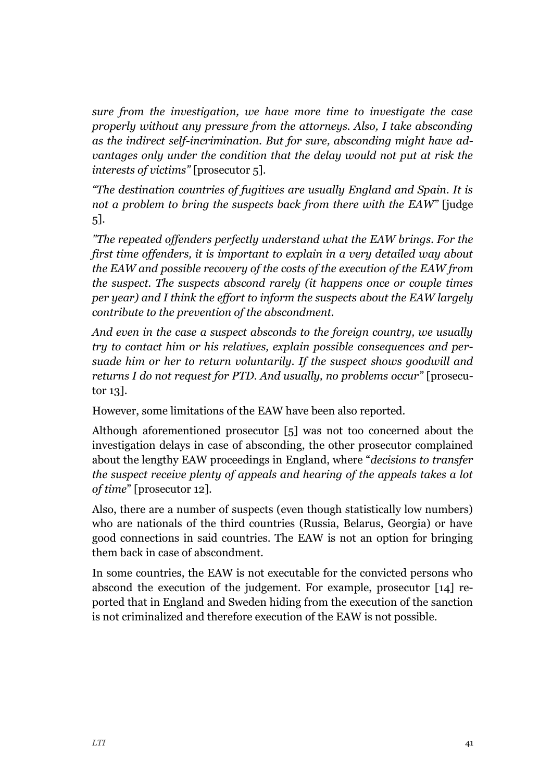*sure from the investigation, we have more time to investigate the case properly without any pressure from the attorneys. Also, I take absconding as the indirect self-incrimination. But for sure, absconding might have advantages only under the condition that the delay would not put at risk the interests of victims"* [prosecutor 5]*.*

*"The destination countries of fugitives are usually England and Spain. It is not a problem to bring the suspects back from there with the EAW"* [judge 5]*.*

*"The repeated offenders perfectly understand what the EAW brings. For the first time offenders, it is important to explain in a very detailed way about the EAW and possible recovery of the costs of the execution of the EAW from the suspect. The suspects abscond rarely (it happens once or couple times per year) and I think the effort to inform the suspects about the EAW largely contribute to the prevention of the abscondment.* 

*And even in the case a suspect absconds to the foreign country, we usually try to contact him or his relatives, explain possible consequences and persuade him or her to return voluntarily. If the suspect shows goodwill and returns I do not request for PTD. And usually, no problems occur"* [prosecutor 13].

However, some limitations of the EAW have been also reported.

Although aforementioned prosecutor [5] was not too concerned about the investigation delays in case of absconding, the other prosecutor complained about the lengthy EAW proceedings in England, where "*decisions to transfer the suspect receive plenty of appeals and hearing of the appeals takes a lot of time*" [prosecutor 12].

Also, there are a number of suspects (even though statistically low numbers) who are nationals of the third countries (Russia, Belarus, Georgia) or have good connections in said countries. The EAW is not an option for bringing them back in case of abscondment.

In some countries, the EAW is not executable for the convicted persons who abscond the execution of the judgement. For example, prosecutor [14] reported that in England and Sweden hiding from the execution of the sanction is not criminalized and therefore execution of the EAW is not possible.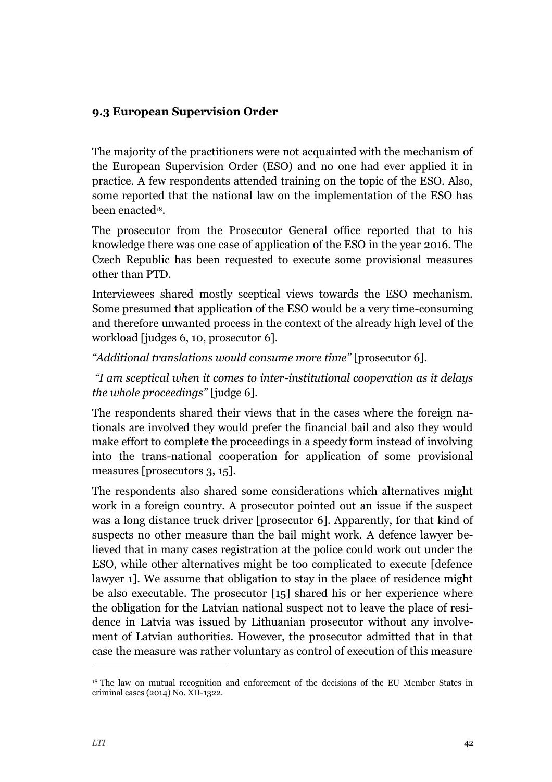#### <span id="page-42-0"></span>**9.3 European Supervision Order**

The majority of the practitioners were not acquainted with the mechanism of the European Supervision Order (ESO) and no one had ever applied it in practice. A few respondents attended training on the topic of the ESO. Also, some reported that the national law on the implementation of the ESO has been enacted<sup>18</sup>.

The prosecutor from the Prosecutor General office reported that to his knowledge there was one case of application of the ESO in the year 2016. The Czech Republic has been requested to execute some provisional measures other than PTD.

Interviewees shared mostly sceptical views towards the ESO mechanism. Some presumed that application of the ESO would be a very time-consuming and therefore unwanted process in the context of the already high level of the workload [judges 6, 10, prosecutor 6].

*"Additional translations would consume more time"* [prosecutor 6].

*"I am sceptical when it comes to inter-institutional cooperation as it delays the whole proceedings"* [judge 6].

The respondents shared their views that in the cases where the foreign nationals are involved they would prefer the financial bail and also they would make effort to complete the proceedings in a speedy form instead of involving into the trans-national cooperation for application of some provisional measures [prosecutors 3, 15].

The respondents also shared some considerations which alternatives might work in a foreign country. A prosecutor pointed out an issue if the suspect was a long distance truck driver [prosecutor 6]. Apparently, for that kind of suspects no other measure than the bail might work. A defence lawyer believed that in many cases registration at the police could work out under the ESO, while other alternatives might be too complicated to execute [defence lawyer 1]. We assume that obligation to stay in the place of residence might be also executable. The prosecutor [15] shared his or her experience where the obligation for the Latvian national suspect not to leave the place of residence in Latvia was issued by Lithuanian prosecutor without any involvement of Latvian authorities. However, the prosecutor admitted that in that case the measure was rather voluntary as control of execution of this measure

-

<sup>18</sup> The law on mutual recognition and enforcement of the decisions of the EU Member States in criminal cases (2014) No. XII-1322.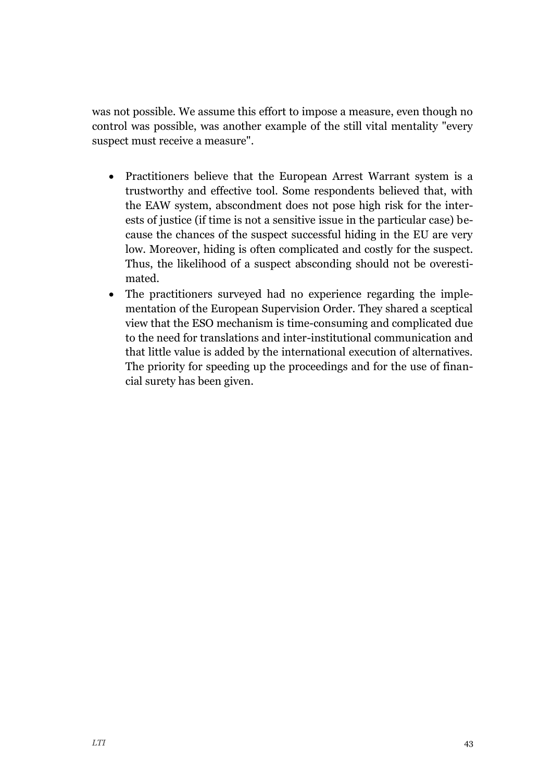was not possible. We assume this effort to impose a measure, even though no control was possible, was another example of the still vital mentality "every suspect must receive a measure".

- Practitioners believe that the European Arrest Warrant system is a trustworthy and effective tool. Some respondents believed that, with the EAW system, abscondment does not pose high risk for the interests of justice (if time is not a sensitive issue in the particular case) because the chances of the suspect successful hiding in the EU are very low. Moreover, hiding is often complicated and costly for the suspect. Thus, the likelihood of a suspect absconding should not be overestimated.
- The practitioners surveyed had no experience regarding the implementation of the European Supervision Order. They shared a sceptical view that the ESO mechanism is time-consuming and complicated due to the need for translations and inter-institutional communication and that little value is added by the international execution of alternatives. The priority for speeding up the proceedings and for the use of financial surety has been given.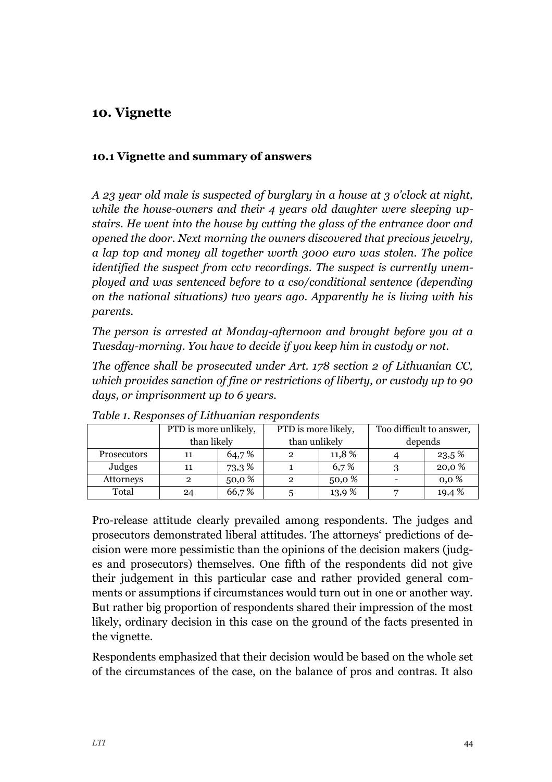## <span id="page-44-0"></span>**10. Vignette**

#### <span id="page-44-1"></span>**10.1 Vignette and summary of answers**

*A 23 year old male is suspected of burglary in a house at 3 o'clock at night, while the house-owners and their 4 years old daughter were sleeping upstairs. He went into the house by cutting the glass of the entrance door and opened the door. Next morning the owners discovered that precious jewelry, a lap top and money all together worth 3000 euro was stolen. The police identified the suspect from cctv recordings. The suspect is currently unemployed and was sentenced before to a cso/conditional sentence (depending on the national situations) two years ago. Apparently he is living with his parents.*

*The person is arrested at Monday-afternoon and brought before you at a Tuesday-morning. You have to decide if you keep him in custody or not.*

*The offence shall be prosecuted under Art. 178 section 2 of Lithuanian CC, which provides sanction of fine or restrictions of liberty, or custody up to 90 days, or imprisonment up to 6 years.*

|                    | PTD is more unlikely,<br>than likely |       | PTD is more likely,<br>than unlikely |       | Too difficult to answer,<br>depends |          |
|--------------------|--------------------------------------|-------|--------------------------------------|-------|-------------------------------------|----------|
| <b>Prosecutors</b> | 11                                   | 64,7% |                                      | 11,8% |                                     | $23.5\%$ |
| Judges             | 11                                   | 73,3% |                                      | 6,7%  |                                     | 20,0%    |
| Attorneys          |                                      | 50,0% | $\overline{2}$                       | 50,0% |                                     | 0,0%     |
| Total              | 24                                   | 66,7% |                                      | 13,9% |                                     | 19,4%    |

*Table 1. Responses of Lithuanian respondents*

Pro-release attitude clearly prevailed among respondents. The judges and prosecutors demonstrated liberal attitudes. The attorneys' predictions of decision were more pessimistic than the opinions of the decision makers (judges and prosecutors) themselves. One fifth of the respondents did not give their judgement in this particular case and rather provided general comments or assumptions if circumstances would turn out in one or another way. But rather big proportion of respondents shared their impression of the most likely, ordinary decision in this case on the ground of the facts presented in the vignette.

Respondents emphasized that their decision would be based on the whole set of the circumstances of the case, on the balance of pros and contras. It also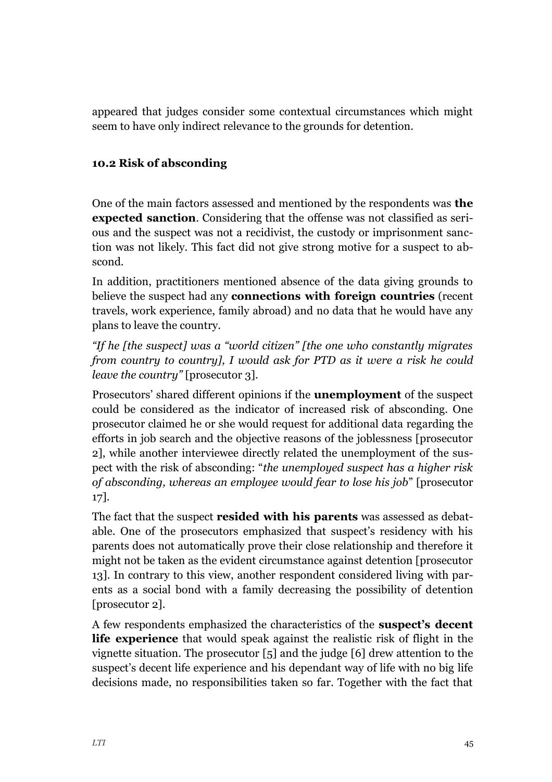appeared that judges consider some contextual circumstances which might seem to have only indirect relevance to the grounds for detention.

## <span id="page-45-0"></span>**10.2 Risk of absconding**

One of the main factors assessed and mentioned by the respondents was **the expected sanction**. Considering that the offense was not classified as serious and the suspect was not a recidivist, the custody or imprisonment sanction was not likely. This fact did not give strong motive for a suspect to abscond.

In addition, practitioners mentioned absence of the data giving grounds to believe the suspect had any **connections with foreign countries** (recent travels, work experience, family abroad) and no data that he would have any plans to leave the country.

*"If he [the suspect] was a "world citizen" [the one who constantly migrates from country to country], I would ask for PTD as it were a risk he could leave the country"* [prosecutor 3].

Prosecutors' shared different opinions if the **unemployment** of the suspect could be considered as the indicator of increased risk of absconding. One prosecutor claimed he or she would request for additional data regarding the efforts in job search and the objective reasons of the joblessness [prosecutor 2], while another interviewee directly related the unemployment of the suspect with the risk of absconding: "*the unemployed suspect has a higher risk of absconding, whereas an employee would fear to lose his job*" [prosecutor 17].

The fact that the suspect **resided with his parents** was assessed as debatable. One of the prosecutors emphasized that suspect's residency with his parents does not automatically prove their close relationship and therefore it might not be taken as the evident circumstance against detention [prosecutor 13]. In contrary to this view, another respondent considered living with parents as a social bond with a family decreasing the possibility of detention [prosecutor 2].

A few respondents emphasized the characteristics of the **suspect's decent life experience** that would speak against the realistic risk of flight in the vignette situation. The prosecutor [5] and the judge [6] drew attention to the suspect's decent life experience and his dependant way of life with no big life decisions made, no responsibilities taken so far. Together with the fact that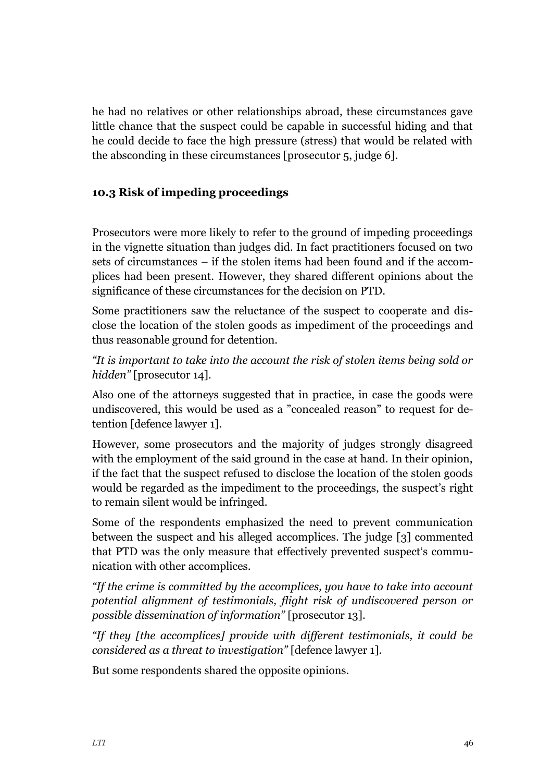he had no relatives or other relationships abroad, these circumstances gave little chance that the suspect could be capable in successful hiding and that he could decide to face the high pressure (stress) that would be related with the absconding in these circumstances [prosecutor 5, judge 6].

#### <span id="page-46-0"></span>**10.3 Risk of impeding proceedings**

Prosecutors were more likely to refer to the ground of impeding proceedings in the vignette situation than judges did. In fact practitioners focused on two sets of circumstances – if the stolen items had been found and if the accomplices had been present. However, they shared different opinions about the significance of these circumstances for the decision on PTD.

Some practitioners saw the reluctance of the suspect to cooperate and disclose the location of the stolen goods as impediment of the proceedings and thus reasonable ground for detention.

*"It is important to take into the account the risk of stolen items being sold or hidden"* [prosecutor 14].

Also one of the attorneys suggested that in practice, in case the goods were undiscovered, this would be used as a "concealed reason" to request for detention [defence lawyer 1].

However, some prosecutors and the majority of judges strongly disagreed with the employment of the said ground in the case at hand. In their opinion, if the fact that the suspect refused to disclose the location of the stolen goods would be regarded as the impediment to the proceedings, the suspect's right to remain silent would be infringed.

Some of the respondents emphasized the need to prevent communication between the suspect and his alleged accomplices. The judge [3] commented that PTD was the only measure that effectively prevented suspect's communication with other accomplices.

*"If the crime is committed by the accomplices, you have to take into account potential alignment of testimonials, flight risk of undiscovered person or possible dissemination of information"* [prosecutor 13].

*"If they [the accomplices] provide with different testimonials, it could be considered as a threat to investigation"* [defence lawyer 1].

But some respondents shared the opposite opinions.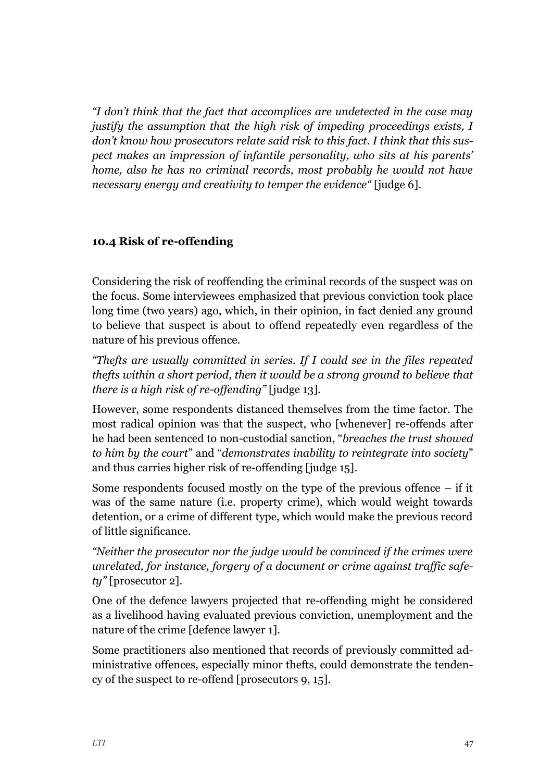*"I don't think that the fact that accomplices are undetected in the case may justify the assumption that the high risk of impeding proceedings exists, I don't know how prosecutors relate said risk to this fact. I think that this suspect makes an impression of infantile personality, who sits at his parents' home, also he has no criminal records, most probably he would not have necessary energy and creativity to temper the evidence"* [judge 6].

#### <span id="page-47-0"></span>**10.4 Risk of re-offending**

Considering the risk of reoffending the criminal records of the suspect was on the focus. Some interviewees emphasized that previous conviction took place long time (two years) ago, which, in their opinion, in fact denied any ground to believe that suspect is about to offend repeatedly even regardless of the nature of his previous offence.

*"Thefts are usually committed in series. If I could see in the files repeated thefts within a short period, then it would be a strong ground to believe that there is a high risk of re-offending"* [judge 13].

However, some respondents distanced themselves from the time factor. The most radical opinion was that the suspect, who [whenever] re-offends after he had been sentenced to non-custodial sanction, "*breaches the trust showed to him by the court*" and "*demonstrates inability to reintegrate into society*" and thus carries higher risk of re-offending [judge 15].

Some respondents focused mostly on the type of the previous offence  $-$  if it was of the same nature (i.e. property crime), which would weight towards detention, or a crime of different type, which would make the previous record of little significance.

*"Neither the prosecutor nor the judge would be convinced if the crimes were unrelated, for instance, forgery of a document or crime against traffic safety"* [prosecutor 2].

One of the defence lawyers projected that re-offending might be considered as a livelihood having evaluated previous conviction, unemployment and the nature of the crime [defence lawyer 1].

Some practitioners also mentioned that records of previously committed administrative offences, especially minor thefts, could demonstrate the tendency of the suspect to re-offend [prosecutors 9, 15].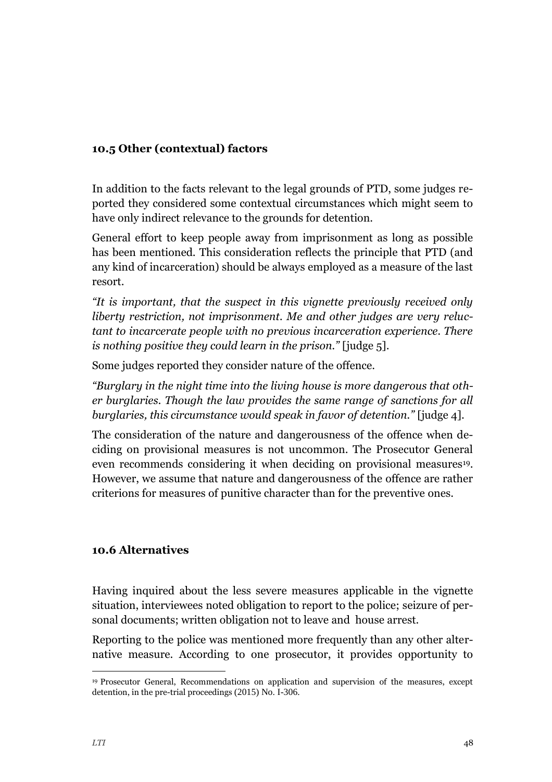#### <span id="page-48-0"></span>**10.5 Other (contextual) factors**

In addition to the facts relevant to the legal grounds of PTD, some judges reported they considered some contextual circumstances which might seem to have only indirect relevance to the grounds for detention.

General effort to keep people away from imprisonment as long as possible has been mentioned. This consideration reflects the principle that PTD (and any kind of incarceration) should be always employed as a measure of the last resort.

*"It is important, that the suspect in this vignette previously received only liberty restriction, not imprisonment. Me and other judges are very reluctant to incarcerate people with no previous incarceration experience. There is nothing positive they could learn in the prison."* [judge 5].

Some judges reported they consider nature of the offence.

*"Burglary in the night time into the living house is more dangerous that other burglaries. Though the law provides the same range of sanctions for all burglaries, this circumstance would speak in favor of detention."* [judge 4].

The consideration of the nature and dangerousness of the offence when deciding on provisional measures is not uncommon. The Prosecutor General even recommends considering it when deciding on provisional measures<sup>19</sup>. However, we assume that nature and dangerousness of the offence are rather criterions for measures of punitive character than for the preventive ones.

#### <span id="page-48-1"></span>**10.6 Alternatives**

Having inquired about the less severe measures applicable in the vignette situation, interviewees noted obligation to report to the police; seizure of personal documents; written obligation not to leave and house arrest.

Reporting to the police was mentioned more frequently than any other alternative measure. According to one prosecutor, it provides opportunity to

j

<sup>19</sup> Prosecutor General, Recommendations on application and supervision of the measures, except detention, in the pre-trial proceedings (2015) No. I-306.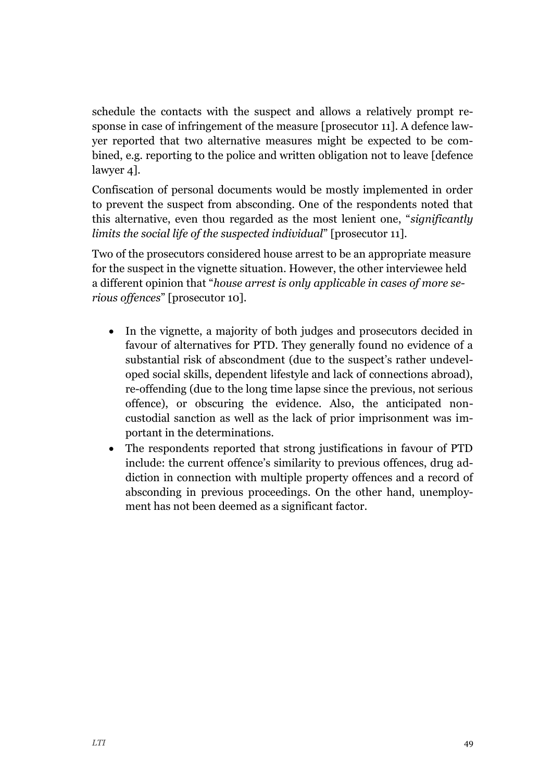schedule the contacts with the suspect and allows a relatively prompt response in case of infringement of the measure [prosecutor 11]. A defence lawyer reported that two alternative measures might be expected to be combined, e.g. reporting to the police and written obligation not to leave [defence lawyer 4].

Confiscation of personal documents would be mostly implemented in order to prevent the suspect from absconding. One of the respondents noted that this alternative, even thou regarded as the most lenient one, "*significantly limits the social life of the suspected individual*" [prosecutor 11].

Two of the prosecutors considered house arrest to be an appropriate measure for the suspect in the vignette situation. However, the other interviewee held a different opinion that "*house arrest is only applicable in cases of more serious offences*" [prosecutor 10].

- In the vignette, a majority of both judges and prosecutors decided in favour of alternatives for PTD. They generally found no evidence of a substantial risk of abscondment (due to the suspect's rather undeveloped social skills, dependent lifestyle and lack of connections abroad), re-offending (due to the long time lapse since the previous, not serious offence), or obscuring the evidence. Also, the anticipated noncustodial sanction as well as the lack of prior imprisonment was important in the determinations.
- The respondents reported that strong justifications in favour of PTD include: the current offence's similarity to previous offences, drug addiction in connection with multiple property offences and a record of absconding in previous proceedings. On the other hand, unemployment has not been deemed as a significant factor.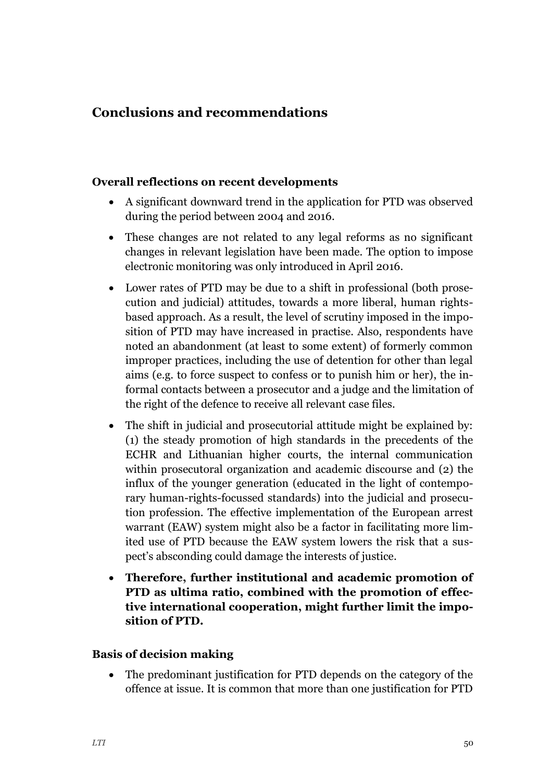# <span id="page-50-0"></span>**Conclusions and recommendations**

#### **Overall reflections on recent developments**

- A significant downward trend in the application for PTD was observed during the period between 2004 and 2016.
- These changes are not related to any legal reforms as no significant changes in relevant legislation have been made. The option to impose electronic monitoring was only introduced in April 2016.
- Lower rates of PTD may be due to a shift in professional (both prosecution and judicial) attitudes, towards a more liberal, human rightsbased approach. As a result, the level of scrutiny imposed in the imposition of PTD may have increased in practise. Also, respondents have noted an abandonment (at least to some extent) of formerly common improper practices, including the use of detention for other than legal aims (e.g. to force suspect to confess or to punish him or her), the informal contacts between a prosecutor and a judge and the limitation of the right of the defence to receive all relevant case files.
- The shift in judicial and prosecutorial attitude might be explained by: (1) the steady promotion of high standards in the precedents of the ECHR and Lithuanian higher courts, the internal communication within prosecutoral organization and academic discourse and (2) the influx of the younger generation (educated in the light of contemporary human-rights-focussed standards) into the judicial and prosecution profession. The effective implementation of the European arrest warrant (EAW) system might also be a factor in facilitating more limited use of PTD because the EAW system lowers the risk that a suspect's absconding could damage the interests of justice.
- **Therefore, further institutional and academic promotion of PTD as ultima ratio, combined with the promotion of effective international cooperation, might further limit the imposition of PTD.**

#### **Basis of decision making**

 The predominant justification for PTD depends on the category of the offence at issue. It is common that more than one justification for PTD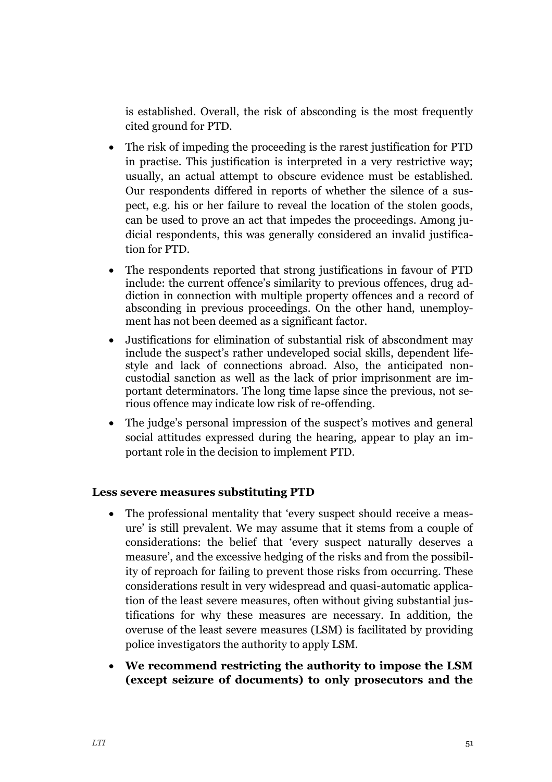is established. Overall, the risk of absconding is the most frequently cited ground for PTD.

- The risk of impeding the proceeding is the rarest justification for PTD in practise. This justification is interpreted in a very restrictive way; usually, an actual attempt to obscure evidence must be established. Our respondents differed in reports of whether the silence of a suspect, e.g. his or her failure to reveal the location of the stolen goods, can be used to prove an act that impedes the proceedings. Among judicial respondents, this was generally considered an invalid justification for PTD.
- The respondents reported that strong justifications in favour of PTD include: the current offence's similarity to previous offences, drug addiction in connection with multiple property offences and a record of absconding in previous proceedings. On the other hand, unemployment has not been deemed as a significant factor.
- Justifications for elimination of substantial risk of abscondment may include the suspect's rather undeveloped social skills, dependent lifestyle and lack of connections abroad. Also, the anticipated noncustodial sanction as well as the lack of prior imprisonment are important determinators. The long time lapse since the previous, not serious offence may indicate low risk of re-offending.
- The judge's personal impression of the suspect's motives and general social attitudes expressed during the hearing, appear to play an important role in the decision to implement PTD.

#### **Less severe measures substituting PTD**

- The professional mentality that 'every suspect should receive a measure' is still prevalent. We may assume that it stems from a couple of considerations: the belief that 'every suspect naturally deserves a measure', and the excessive hedging of the risks and from the possibility of reproach for failing to prevent those risks from occurring. These considerations result in very widespread and quasi-automatic application of the least severe measures, often without giving substantial justifications for why these measures are necessary. In addition, the overuse of the least severe measures (LSM) is facilitated by providing police investigators the authority to apply LSM.
- **We recommend restricting the authority to impose the LSM (except seizure of documents) to only prosecutors and the**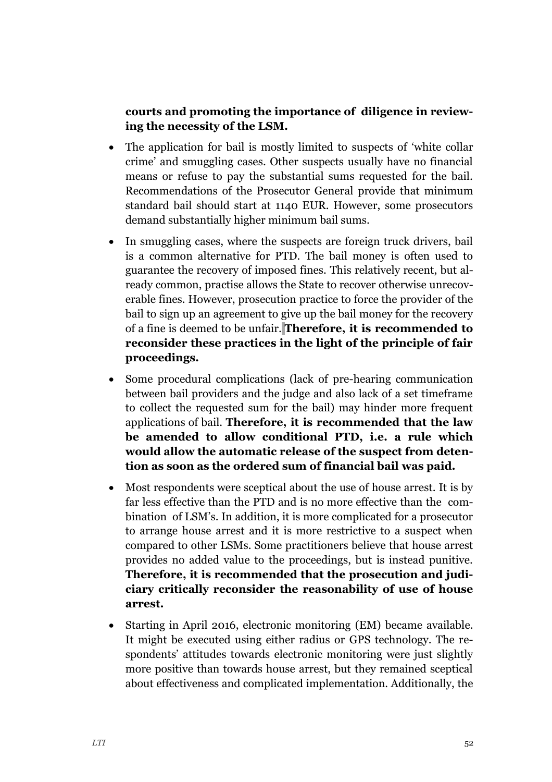## **courts and promoting the importance of diligence in reviewing the necessity of the LSM.**

- The application for bail is mostly limited to suspects of 'white collar crime' and smuggling cases. Other suspects usually have no financial means or refuse to pay the substantial sums requested for the bail. Recommendations of the Prosecutor General provide that minimum standard bail should start at 1140 EUR. However, some prosecutors demand substantially higher minimum bail sums.
- In smuggling cases, where the suspects are foreign truck drivers, bail is a common alternative for PTD. The bail money is often used to guarantee the recovery of imposed fines. This relatively recent, but already common, practise allows the State to recover otherwise unrecoverable fines. However, prosecution practice to force the provider of the bail to sign up an agreement to give up the bail money for the recovery of a fine is deemed to be unfair. **Therefore, it is recommended to reconsider these practices in the light of the principle of fair proceedings.**
- Some procedural complications (lack of pre-hearing communication between bail providers and the judge and also lack of a set timeframe to collect the requested sum for the bail) may hinder more frequent applications of bail. **Therefore, it is recommended that the law be amended to allow conditional PTD, i.e. a rule which would allow the automatic release of the suspect from detention as soon as the ordered sum of financial bail was paid.**
- Most respondents were sceptical about the use of house arrest. It is by far less effective than the PTD and is no more effective than the combination of LSM's. In addition, it is more complicated for a prosecutor to arrange house arrest and it is more restrictive to a suspect when compared to other LSMs. Some practitioners believe that house arrest provides no added value to the proceedings, but is instead punitive. **Therefore, it is recommended that the prosecution and judiciary critically reconsider the reasonability of use of house arrest.**
- Starting in April 2016, electronic monitoring (EM) became available. It might be executed using either radius or GPS technology. The respondents' attitudes towards electronic monitoring were just slightly more positive than towards house arrest, but they remained sceptical about effectiveness and complicated implementation. Additionally, the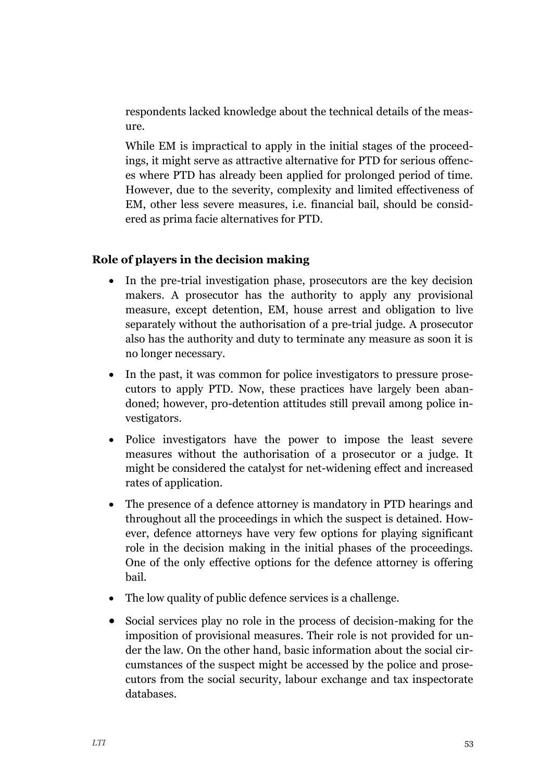respondents lacked knowledge about the technical details of the measure.

While EM is impractical to apply in the initial stages of the proceedings, it might serve as attractive alternative for PTD for serious offences where PTD has already been applied for prolonged period of time. However, due to the severity, complexity and limited effectiveness of EM, other less severe measures, i.e. financial bail, should be considered as prima facie alternatives for PTD.

## **Role of players in the decision making**

- In the pre-trial investigation phase, prosecutors are the key decision makers. A prosecutor has the authority to apply any provisional measure, except detention, EM, house arrest and obligation to live separately without the authorisation of a pre-trial judge. A prosecutor also has the authority and duty to terminate any measure as soon it is no longer necessary.
- In the past, it was common for police investigators to pressure prosecutors to apply PTD. Now, these practices have largely been abandoned; however, pro-detention attitudes still prevail among police investigators.
- Police investigators have the power to impose the least severe measures without the authorisation of a prosecutor or a judge. It might be considered the catalyst for net-widening effect and increased rates of application.
- The presence of a defence attorney is mandatory in PTD hearings and throughout all the proceedings in which the suspect is detained. However, defence attorneys have very few options for playing significant role in the decision making in the initial phases of the proceedings. One of the only effective options for the defence attorney is offering bail.
- The low quality of public defence services is a challenge.
- Social services play no role in the process of decision-making for the imposition of provisional measures. Their role is not provided for under the law. On the other hand, basic information about the social circumstances of the suspect might be accessed by the police and prosecutors from the social security, labour exchange and tax inspectorate databases.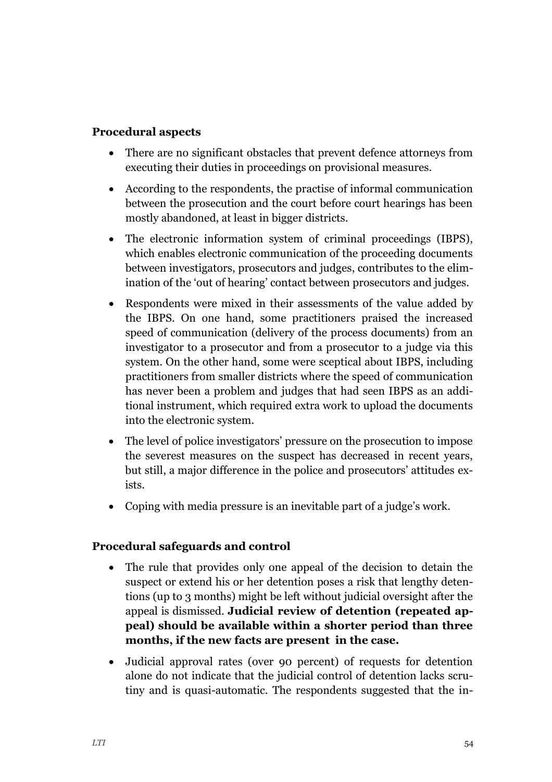#### **Procedural aspects**

- There are no significant obstacles that prevent defence attorneys from executing their duties in proceedings on provisional measures.
- According to the respondents, the practise of informal communication between the prosecution and the court before court hearings has been mostly abandoned, at least in bigger districts.
- The electronic information system of criminal proceedings (IBPS), which enables electronic communication of the proceeding documents between investigators, prosecutors and judges, contributes to the elimination of the 'out of hearing' contact between prosecutors and judges.
- Respondents were mixed in their assessments of the value added by the IBPS. On one hand, some practitioners praised the increased speed of communication (delivery of the process documents) from an investigator to a prosecutor and from a prosecutor to a judge via this system. On the other hand, some were sceptical about IBPS, including practitioners from smaller districts where the speed of communication has never been a problem and judges that had seen IBPS as an additional instrument, which required extra work to upload the documents into the electronic system.
- The level of police investigators' pressure on the prosecution to impose the severest measures on the suspect has decreased in recent years, but still, a major difference in the police and prosecutors' attitudes exists.
- Coping with media pressure is an inevitable part of a judge's work.

#### **Procedural safeguards and control**

- The rule that provides only one appeal of the decision to detain the suspect or extend his or her detention poses a risk that lengthy detentions (up to 3 months) might be left without judicial oversight after the appeal is dismissed. **Judicial review of detention (repeated appeal) should be available within a shorter period than three months, if the new facts are present in the case.**
- Judicial approval rates (over 90 percent) of requests for detention alone do not indicate that the judicial control of detention lacks scrutiny and is quasi-automatic. The respondents suggested that the in-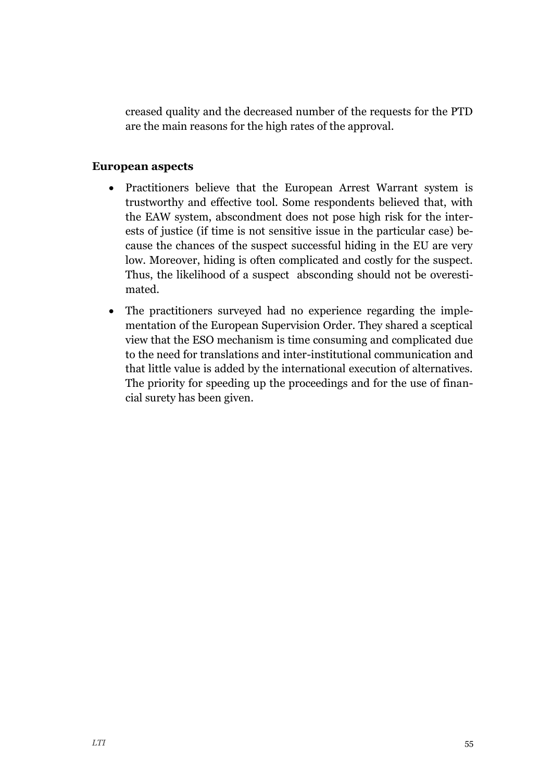creased quality and the decreased number of the requests for the PTD are the main reasons for the high rates of the approval.

#### **European aspects**

- Practitioners believe that the European Arrest Warrant system is trustworthy and effective tool. Some respondents believed that, with the EAW system, abscondment does not pose high risk for the interests of justice (if time is not sensitive issue in the particular case) because the chances of the suspect successful hiding in the EU are very low. Moreover, hiding is often complicated and costly for the suspect. Thus, the likelihood of a suspect absconding should not be overestimated.
- The practitioners surveyed had no experience regarding the implementation of the European Supervision Order. They shared a sceptical view that the ESO mechanism is time consuming and complicated due to the need for translations and inter-institutional communication and that little value is added by the international execution of alternatives. The priority for speeding up the proceedings and for the use of financial surety has been given.